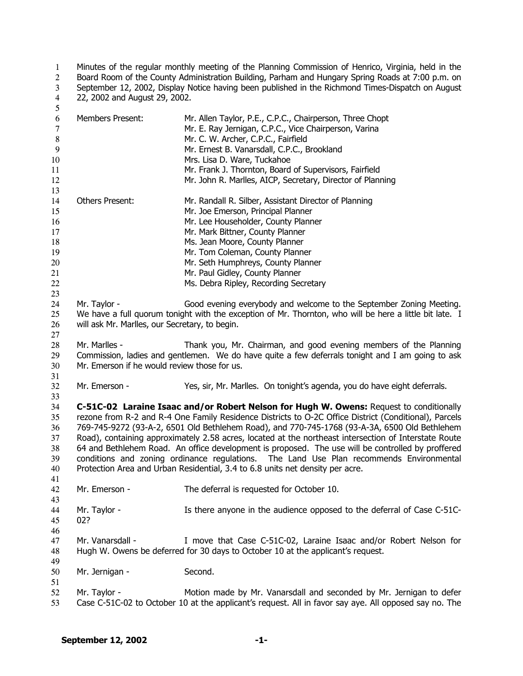Minutes of the regular monthly meeting of the Planning Commission of Henrico, Virginia, held in the Board Room of the County Administration Building, Parham and Hungary Spring Roads at 7:00 p.m. on September 12, 2002, Display Notice having been published in the Richmond Times-Dispatch on August 22, 2002 and August 29, 2002. 1  $\overline{2}$ 3 4 5

| 6<br>$\overline{7}$<br>8<br>9<br>10<br>11<br>12              | <b>Members Present:</b>                                                                                                                                                                                                                                                                                                                                                                                                                                                                                                                                                                                                                                                                     | Mr. Allen Taylor, P.E., C.P.C., Chairperson, Three Chopt<br>Mr. E. Ray Jernigan, C.P.C., Vice Chairperson, Varina<br>Mr. C. W. Archer, C.P.C., Fairfield<br>Mr. Ernest B. Vanarsdall, C.P.C., Brookland<br>Mrs. Lisa D. Ware, Tuckahoe<br>Mr. Frank J. Thornton, Board of Supervisors, Fairfield<br>Mr. John R. Marlles, AICP, Secretary, Director of Planning |  |
|--------------------------------------------------------------|---------------------------------------------------------------------------------------------------------------------------------------------------------------------------------------------------------------------------------------------------------------------------------------------------------------------------------------------------------------------------------------------------------------------------------------------------------------------------------------------------------------------------------------------------------------------------------------------------------------------------------------------------------------------------------------------|----------------------------------------------------------------------------------------------------------------------------------------------------------------------------------------------------------------------------------------------------------------------------------------------------------------------------------------------------------------|--|
| 13<br>14<br>15<br>16<br>17<br>18<br>19<br>20<br>21<br>$22\,$ | Others Present:                                                                                                                                                                                                                                                                                                                                                                                                                                                                                                                                                                                                                                                                             | Mr. Randall R. Silber, Assistant Director of Planning<br>Mr. Joe Emerson, Principal Planner<br>Mr. Lee Householder, County Planner<br>Mr. Mark Bittner, County Planner<br>Ms. Jean Moore, County Planner<br>Mr. Tom Coleman, County Planner<br>Mr. Seth Humphreys, County Planner<br>Mr. Paul Gidley, County Planner<br>Ms. Debra Ripley, Recording Secretary  |  |
| 23<br>24<br>25<br>26<br>27                                   | Mr. Taylor -<br>will ask Mr. Marlles, our Secretary, to begin.                                                                                                                                                                                                                                                                                                                                                                                                                                                                                                                                                                                                                              | Good evening everybody and welcome to the September Zoning Meeting.<br>We have a full quorum tonight with the exception of Mr. Thornton, who will be here a little bit late. I                                                                                                                                                                                 |  |
| 28<br>29<br>30                                               | Mr. Marlles -<br>Mr. Emerson if he would review those for us.                                                                                                                                                                                                                                                                                                                                                                                                                                                                                                                                                                                                                               | Thank you, Mr. Chairman, and good evening members of the Planning<br>Commission, ladies and gentlemen. We do have quite a few deferrals tonight and I am going to ask                                                                                                                                                                                          |  |
| 31<br>32                                                     | Mr. Emerson -                                                                                                                                                                                                                                                                                                                                                                                                                                                                                                                                                                                                                                                                               | Yes, sir, Mr. Marlles. On tonight's agenda, you do have eight deferrals.                                                                                                                                                                                                                                                                                       |  |
| 33<br>34<br>35<br>36<br>37<br>38<br>39<br>40<br>41           | C-51C-02 Laraine Isaac and/or Robert Nelson for Hugh W. Owens: Request to conditionally<br>rezone from R-2 and R-4 One Family Residence Districts to O-2C Office District (Conditional), Parcels<br>769-745-9272 (93-A-2, 6501 Old Bethlehem Road), and 770-745-1768 (93-A-3A, 6500 Old Bethlehem<br>Road), containing approximately 2.58 acres, located at the northeast intersection of Interstate Route<br>64 and Bethlehem Road. An office development is proposed. The use will be controlled by proffered<br>conditions and zoning ordinance regulations. The Land Use Plan recommends Environmental<br>Protection Area and Urban Residential, 3.4 to 6.8 units net density per acre. |                                                                                                                                                                                                                                                                                                                                                                |  |
| 42<br>43                                                     | Mr. Emerson -                                                                                                                                                                                                                                                                                                                                                                                                                                                                                                                                                                                                                                                                               | The deferral is requested for October 10.                                                                                                                                                                                                                                                                                                                      |  |
| 44<br>45<br>46                                               | Mr. Taylor -<br>02?                                                                                                                                                                                                                                                                                                                                                                                                                                                                                                                                                                                                                                                                         | Is there anyone in the audience opposed to the deferral of Case C-51C-                                                                                                                                                                                                                                                                                         |  |
| 47<br>48                                                     | Mr. Vanarsdall -                                                                                                                                                                                                                                                                                                                                                                                                                                                                                                                                                                                                                                                                            | I move that Case C-51C-02, Laraine Isaac and/or Robert Nelson for<br>Hugh W. Owens be deferred for 30 days to October 10 at the applicant's request.                                                                                                                                                                                                           |  |
| 49<br>50<br>51                                               | Mr. Jernigan -                                                                                                                                                                                                                                                                                                                                                                                                                                                                                                                                                                                                                                                                              | Second.                                                                                                                                                                                                                                                                                                                                                        |  |
| 52<br>53                                                     | Mr. Taylor -                                                                                                                                                                                                                                                                                                                                                                                                                                                                                                                                                                                                                                                                                | Motion made by Mr. Vanarsdall and seconded by Mr. Jernigan to defer<br>Case C-51C-02 to October 10 at the applicant's request. All in favor say aye. All opposed say no. The                                                                                                                                                                                   |  |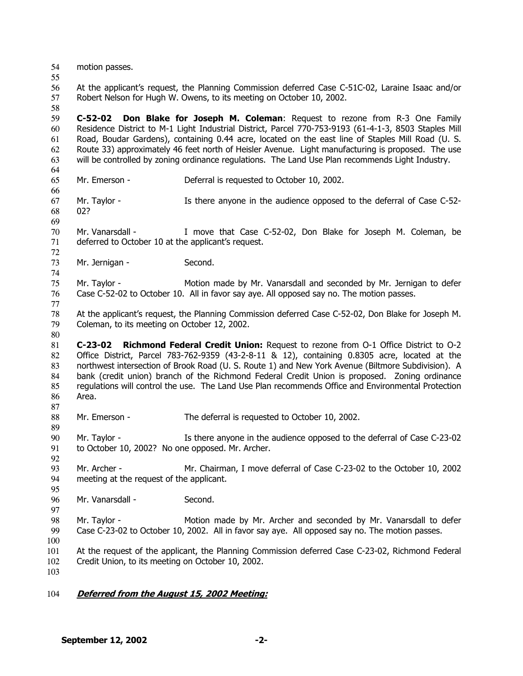- 54 motion passes.
- 55

58

56 57 At the applicant's request, the Planning Commission deferred Case C-51C-02, Laraine Isaac and/or Robert Nelson for Hugh W. Owens, to its meeting on October 10, 2002.

59 60 61 62 63 **C-52-02 Don Blake for Joseph M. Coleman**: Request to rezone from R-3 One Family Residence District to M-1 Light Industrial District, Parcel 770-753-9193 (61-4-1-3, 8503 Staples Mill Road, Boudar Gardens), containing 0.44 acre, located on the east line of Staples Mill Road (U. S. Route 33) approximately 46 feet north of Heisler Avenue. Light manufacturing is proposed. The use will be controlled by zoning ordinance regulations. The Land Use Plan recommends Light Industry.

64 65

66

69

72

74

77

80

87

92

95

97

Mr. Emerson - Deferral is requested to October 10, 2002.

67 68 Mr. Taylor - Is there anyone in the audience opposed to the deferral of Case C-52-02?

70 71 Mr. Vanarsdall - I move that Case C-52-02, Don Blake for Joseph M. Coleman, be deferred to October 10 at the applicant's request.

73 Mr. Jernigan - Second.

75 76 Mr. Taylor - Motion made by Mr. Vanarsdall and seconded by Mr. Jernigan to defer Case C-52-02 to October 10. All in favor say aye. All opposed say no. The motion passes.

78 79 At the applicant's request, the Planning Commission deferred Case C-52-02, Don Blake for Joseph M. Coleman, to its meeting on October 12, 2002.

81 82 83 84 85 86 **C-23-02 Richmond Federal Credit Union:** Request to rezone from O-1 Office District to O-2 Office District, Parcel 783-762-9359 (43-2-8-11 & 12), containing 0.8305 acre, located at the northwest intersection of Brook Road (U. S. Route 1) and New York Avenue (Biltmore Subdivision). A bank (credit union) branch of the Richmond Federal Credit Union is proposed. Zoning ordinance regulations will control the use. The Land Use Plan recommends Office and Environmental Protection Area.

88 Mr. Emerson - The deferral is requested to October 10, 2002.

89 90 91 Mr. Taylor - Is there anyone in the audience opposed to the deferral of Case C-23-02 to October 10, 2002? No one opposed. Mr. Archer.

93 94 Mr. Archer - Mr. Chairman, I move deferral of Case C-23-02 to the October 10, 2002 meeting at the request of the applicant.

96 Mr. Vanarsdall - Second.

98 99 Mr. Taylor - Motion made by Mr. Archer and seconded by Mr. Vanarsdall to defer Case C-23-02 to October 10, 2002. All in favor say aye. All opposed say no. The motion passes.

- 100
- 101 At the request of the applicant, the Planning Commission deferred Case C-23-02, Richmond Federal

102 Credit Union, to its meeting on October 10, 2002.

103

## 104 **Deferred from the August 15, 2002 Meeting:**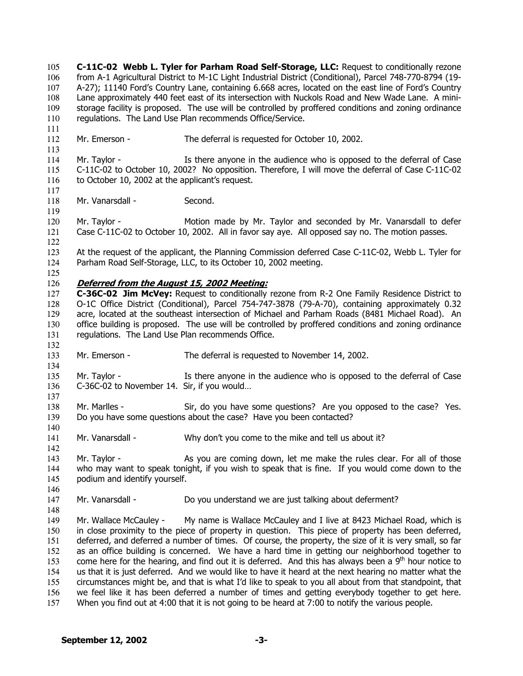**C-11C-02 Webb L. Tyler for Parham Road Self-Storage, LLC:** Request to conditionally rezone from A-1 Agricultural District to M-1C Light Industrial District (Conditional), Parcel 748-770-8794 (19- A-27); 11140 Ford's Country Lane, containing 6.668 acres, located on the east line of Ford's Country Lane approximately 440 feet east of its intersection with Nuckols Road and New Wade Lane. A ministorage facility is proposed. The use will be controlled by proffered conditions and zoning ordinance regulations. The Land Use Plan recommends Office/Service. 105 106 107 108 109 110 111 112 113 114 115 116 117 118 119 120 121 122 123 124 125 Mr. Emerson - The deferral is requested for October 10, 2002. Mr. Taylor - Is there anyone in the audience who is opposed to the deferral of Case C-11C-02 to October 10, 2002? No opposition. Therefore, I will move the deferral of Case C-11C-02 to October 10, 2002 at the applicant's request. Mr. Vanarsdall - Second. Mr. Taylor - Motion made by Mr. Taylor and seconded by Mr. Vanarsdall to defer Case C-11C-02 to October 10, 2002. All in favor say aye. All opposed say no. The motion passes. At the request of the applicant, the Planning Commission deferred Case C-11C-02, Webb L. Tyler for Parham Road Self-Storage, LLC, to its October 10, 2002 meeting. 126 **Deferred from the August 15, 2002 Meeting:** 127 128 129 130 131 132 133 134 135 136 137 138 139 140 141 142 143 144 145 146 147 148 149 150 151 152 153 154 155 156 157 **C-36C-02 Jim McVey:** Request to conditionally rezone from R-2 One Family Residence District to O-1C Office District (Conditional), Parcel 754-747-3878 (79-A-70), containing approximately 0.32 acre, located at the southeast intersection of Michael and Parham Roads (8481 Michael Road). An office building is proposed. The use will be controlled by proffered conditions and zoning ordinance regulations. The Land Use Plan recommends Office. Mr. Emerson - The deferral is requested to November 14, 2002. Mr. Taylor - Is there anyone in the audience who is opposed to the deferral of Case C-36C-02 to November 14. Sir, if you would… Mr. Marlles - Sir, do you have some questions? Are you opposed to the case? Yes. Do you have some questions about the case? Have you been contacted? Mr. Vanarsdall - Why don't you come to the mike and tell us about it? Mr. Taylor - As you are coming down, let me make the rules clear. For all of those who may want to speak tonight, if you wish to speak that is fine. If you would come down to the podium and identify yourself. Mr. Vanarsdall - **Do you understand we are just talking about deferment**? Mr. Wallace McCauley - My name is Wallace McCauley and I live at 8423 Michael Road, which is in close proximity to the piece of property in question. This piece of property has been deferred, deferred, and deferred a number of times. Of course, the property, the size of it is very small, so far as an office building is concerned. We have a hard time in getting our neighborhood together to come here for the hearing, and find out it is deferred. And this has always been a  $9<sup>th</sup>$  hour notice to us that it is just deferred. And we would like to have it heard at the next hearing no matter what the circumstances might be, and that is what I'd like to speak to you all about from that standpoint, that we feel like it has been deferred a number of times and getting everybody together to get here. When you find out at 4:00 that it is not going to be heard at 7:00 to notify the various people.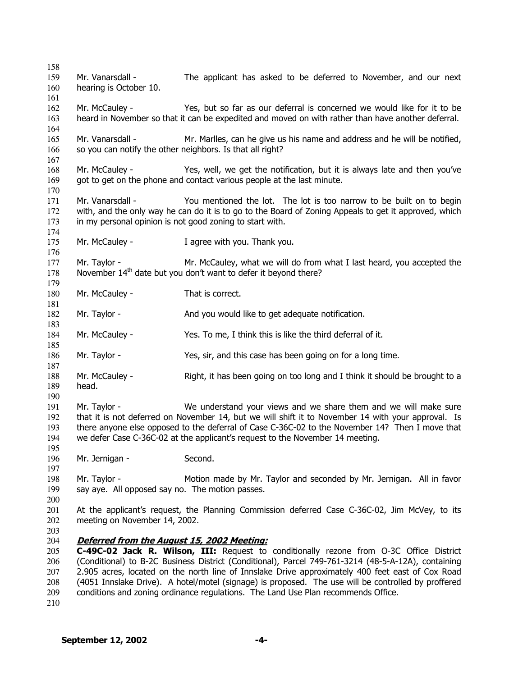Mr. Vanarsdall - The applicant has asked to be deferred to November, and our next hearing is October 10. Mr. McCauley - Yes, but so far as our deferral is concerned we would like for it to be heard in November so that it can be expedited and moved on with rather than have another deferral. Mr. Vanarsdall - Mr. Marlles, can he give us his name and address and he will be notified, so you can notify the other neighbors. Is that all right? Mr. McCauley - Yes, well, we get the notification, but it is always late and then you've got to get on the phone and contact various people at the last minute. Mr. Vanarsdall - You mentioned the lot. The lot is too narrow to be built on to begin with, and the only way he can do it is to go to the Board of Zoning Appeals to get it approved, which in my personal opinion is not good zoning to start with. Mr. McCauley - Tagree with you. Thank you. Mr. Taylor - Mr. McCauley, what we will do from what I last heard, you accepted the November 14<sup>th</sup> date but you don't want to defer it beyond there? Mr. McCauley - That is correct. Mr. Taylor - **And you would like to get adequate notification.** Mr. McCauley - Yes. To me, I think this is like the third deferral of it. Mr. Taylor - Yes, sir, and this case has been going on for a long time. Mr. McCauley - Right, it has been going on too long and I think it should be brought to a head. Mr. Taylor - We understand your views and we share them and we will make sure that it is not deferred on November 14, but we will shift it to November 14 with your approval. Is there anyone else opposed to the deferral of Case C-36C-02 to the November 14? Then I move that we defer Case C-36C-02 at the applicant's request to the November 14 meeting. Mr. Jernigan - Second. Mr. Taylor - Motion made by Mr. Taylor and seconded by Mr. Jernigan. All in favor say aye. All opposed say no. The motion passes. At the applicant's request, the Planning Commission deferred Case C-36C-02, Jim McVey, to its meeting on November 14, 2002. **Deferred from the August 15, 2002 Meeting: C-49C-02 Jack R. Wilson, III:** Request to conditionally rezone from O-3C Office District (Conditional) to B-2C Business District (Conditional), Parcel 749-761-3214 (48-5-A-12A), containing 2.905 acres, located on the north line of Innslake Drive approximately 400 feet east of Cox Road (4051 Innslake Drive). A hotel/motel (signage) is proposed. The use will be controlled by proffered conditions and zoning ordinance regulations. The Land Use Plan recommends Office.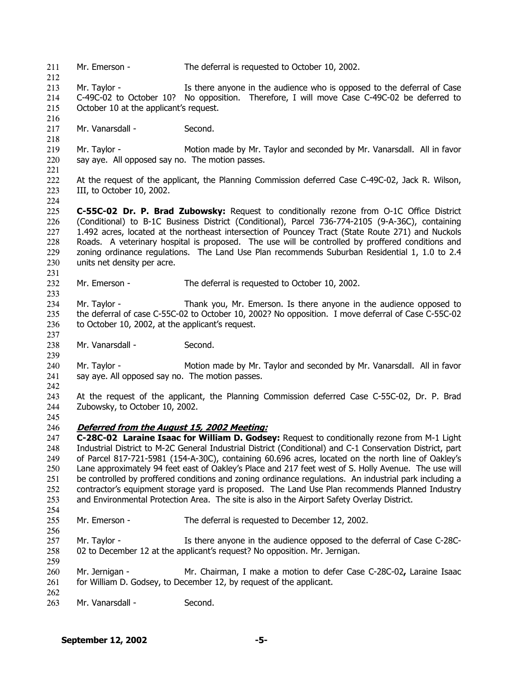211 Mr. Emerson - The deferral is requested to October 10, 2002. 212 213 214 215 216 217 218 219 220 221 222 223 224 225 226 227 228 229 230 231 232 233 234 235 236 237 238 239 240 241 242 243 244 245 Mr. Taylor - Is there anyone in the audience who is opposed to the deferral of Case C-49C-02 to October 10? No opposition. Therefore, I will move Case C-49C-02 be deferred to October 10 at the applicant's request. Mr. Vanarsdall - Second. Mr. Taylor - Motion made by Mr. Taylor and seconded by Mr. Vanarsdall. All in favor say aye. All opposed say no. The motion passes. At the request of the applicant, the Planning Commission deferred Case C-49C-02, Jack R. Wilson, III, to October 10, 2002. **C-55C-02 Dr. P. Brad Zubowsky:** Request to conditionally rezone from O-1C Office District (Conditional) to B-1C Business District (Conditional), Parcel 736-774-2105 (9-A-36C), containing 1.492 acres, located at the northeast intersection of Pouncey Tract (State Route 271) and Nuckols Roads. A veterinary hospital is proposed. The use will be controlled by proffered conditions and zoning ordinance regulations. The Land Use Plan recommends Suburban Residential 1, 1.0 to 2.4 units net density per acre. Mr. Emerson - The deferral is requested to October 10, 2002. Mr. Taylor - Thank you, Mr. Emerson. Is there anyone in the audience opposed to the deferral of case C-55C-02 to October 10, 2002? No opposition. I move deferral of Case C-55C-02 to October 10, 2002, at the applicant's request. Mr. Vanarsdall - Second. Mr. Taylor - Motion made by Mr. Taylor and seconded by Mr. Vanarsdall. All in favor say aye. All opposed say no. The motion passes. At the request of the applicant, the Planning Commission deferred Case C-55C-02, Dr. P. Brad Zubowsky, to October 10, 2002. 246 **Deferred from the August 15, 2002 Meeting:** 247 248 249 250 251 252 253 254 255 256 257 258 259 260 261 262 263 **C-28C-02 Laraine Isaac for William D. Godsey:** Request to conditionally rezone from M-1 Light Industrial District to M-2C General Industrial District (Conditional) and C-1 Conservation District, part of Parcel 817-721-5981 (154-A-30C), containing 60.696 acres, located on the north line of Oakley's Lane approximately 94 feet east of Oakley's Place and 217 feet west of S. Holly Avenue. The use will be controlled by proffered conditions and zoning ordinance regulations. An industrial park including a contractor's equipment storage yard is proposed. The Land Use Plan recommends Planned Industry and Environmental Protection Area. The site is also in the Airport Safety Overlay District. Mr. Emerson - The deferral is requested to December 12, 2002. Mr. Taylor - Is there anyone in the audience opposed to the deferral of Case C-28C-02 to December 12 at the applicant's request? No opposition. Mr. Jernigan. Mr. Jernigan - Mr. Chairman, I make a motion to defer Case C-28C-02**,** Laraine Isaac for William D. Godsey, to December 12, by request of the applicant. Mr. Vanarsdall - Second.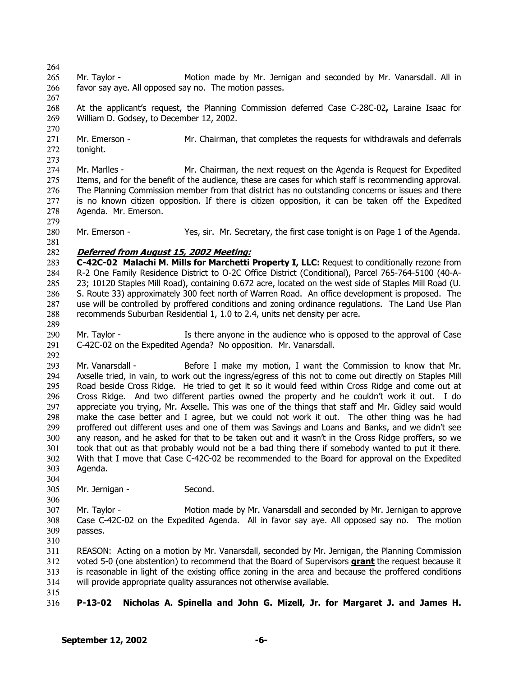264

- 265 266 Mr. Taylor - Motion made by Mr. Jernigan and seconded by Mr. Vanarsdall. All in favor say aye. All opposed say no. The motion passes.
- 267 268 269 At the applicant's request, the Planning Commission deferred Case C-28C-02**,** Laraine Isaac for William D. Godsey, to December 12, 2002.
- 270 271 272 Mr. Emerson - Mr. Chairman, that completes the requests for withdrawals and deferrals tonight.
- 273 274 275 276 277 278 279 Mr. Marlles - Mr. Chairman, the next request on the Agenda is Request for Expedited Items, and for the benefit of the audience, these are cases for which staff is recommending approval. The Planning Commission member from that district has no outstanding concerns or issues and there is no known citizen opposition. If there is citizen opposition, it can be taken off the Expedited Agenda. Mr. Emerson.
- 280 Mr. Emerson - Yes, sir. Mr. Secretary, the first case tonight is on Page 1 of the Agenda.
- 281

289

## 282 **Deferred from August 15, 2002 Meeting:**

- 283 284 285 286 287 288 **C-42C-02 Malachi M. Mills for Marchetti Property I, LLC:** Request to conditionally rezone from R-2 One Family Residence District to O-2C Office District (Conditional), Parcel 765-764-5100 (40-A-23; 10120 Staples Mill Road), containing 0.672 acre, located on the west side of Staples Mill Road (U. S. Route 33) approximately 300 feet north of Warren Road. An office development is proposed. The use will be controlled by proffered conditions and zoning ordinance regulations. The Land Use Plan recommends Suburban Residential 1, 1.0 to 2.4, units net density per acre.
- 290 291 292 Mr. Taylor - Is there anyone in the audience who is opposed to the approval of Case C-42C-02 on the Expedited Agenda? No opposition. Mr. Vanarsdall.
- 293 294 295 296 297 298 299 300 301 302 303 Mr. Vanarsdall - Before I make my motion, I want the Commission to know that Mr. Axselle tried, in vain, to work out the ingress/egress of this not to come out directly on Staples Mill Road beside Cross Ridge. He tried to get it so it would feed within Cross Ridge and come out at Cross Ridge. And two different parties owned the property and he couldn't work it out. I do appreciate you trying, Mr. Axselle. This was one of the things that staff and Mr. Gidley said would make the case better and I agree, but we could not work it out. The other thing was he had proffered out different uses and one of them was Savings and Loans and Banks, and we didn't see any reason, and he asked for that to be taken out and it wasn't in the Cross Ridge proffers, so we took that out as that probably would not be a bad thing there if somebody wanted to put it there. With that I move that Case C-42C-02 be recommended to the Board for approval on the Expedited Agenda.
- 305 Mr. Jernigan - Second.
- 306

304

- 307 308 309 Mr. Taylor - Motion made by Mr. Vanarsdall and seconded by Mr. Jernigan to approve Case C-42C-02 on the Expedited Agenda. All in favor say aye. All opposed say no. The motion passes.
- 310

311 REASON: Acting on a motion by Mr. Vanarsdall, seconded by Mr. Jernigan, the Planning Commission voted 5-0 (one abstention) to recommend that the Board of Supervisors **grant** the request because it is reasonable in light of the existing office zoning in the area and because the proffered conditions will provide appropriate quality assurances not otherwise available. 312 313 314

315 316 **P-13-02 Nicholas A. Spinella and John G. Mizell, Jr. for Margaret J. and James H.**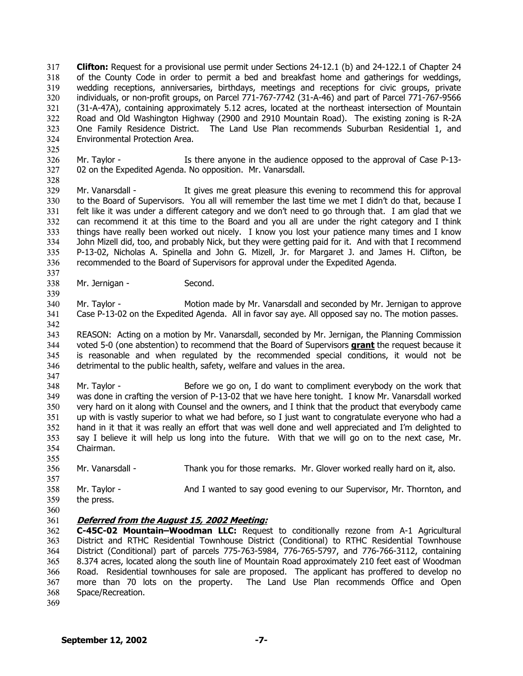**Clifton:** Request for a provisional use permit under Sections 24-12.1 (b) and 24-122.1 of Chapter 24 of the County Code in order to permit a bed and breakfast home and gatherings for weddings, wedding receptions, anniversaries, birthdays, meetings and receptions for civic groups, private individuals, or non-profit groups, on Parcel 771-767-7742 (31-A-46) and part of Parcel 771-767-9566 (31-A-47A), containing approximately 5.12 acres, located at the northeast intersection of Mountain Road and Old Washington Highway (2900 and 2910 Mountain Road). The existing zoning is R-2A One Family Residence District. The Land Use Plan recommends Suburban Residential 1, and Environmental Protection Area. 317 318 319 320 321 322 323 324

325 326 327 Mr. Taylor - Is there anyone in the audience opposed to the approval of Case P-13-02 on the Expedited Agenda. No opposition. Mr. Vanarsdall.

329 330 331 332 333 334 335 336 Mr. Vanarsdall - It gives me great pleasure this evening to recommend this for approval to the Board of Supervisors. You all will remember the last time we met I didn't do that, because I felt like it was under a different category and we don't need to go through that. I am glad that we can recommend it at this time to the Board and you all are under the right category and I think things have really been worked out nicely. I know you lost your patience many times and I know John Mizell did, too, and probably Nick, but they were getting paid for it. And with that I recommend P-13-02, Nicholas A. Spinella and John G. Mizell, Jr. for Margaret J. and James H. Clifton, be recommended to the Board of Supervisors for approval under the Expedited Agenda.

338 Mr. Jernigan - Second.

340 341 Mr. Taylor - Motion made by Mr. Vanarsdall and seconded by Mr. Jernigan to approve Case P-13-02 on the Expedited Agenda. All in favor say aye. All opposed say no. The motion passes.

343 REASON: Acting on a motion by Mr. Vanarsdall, seconded by Mr. Jernigan, the Planning Commission voted 5-0 (one abstention) to recommend that the Board of Supervisors **grant** the request because it is reasonable and when regulated by the recommended special conditions, it would not be detrimental to the public health, safety, welfare and values in the area. 344 345 346

348 349 350 351 352 353 354 Mr. Taylor - Before we go on, I do want to compliment everybody on the work that was done in crafting the version of P-13-02 that we have here tonight. I know Mr. Vanarsdall worked very hard on it along with Counsel and the owners, and I think that the product that everybody came up with is vastly superior to what we had before, so I just want to congratulate everyone who had a hand in it that it was really an effort that was well done and well appreciated and I'm delighted to say I believe it will help us long into the future. With that we will go on to the next case, Mr. Chairman.

- 356 Mr. Vanarsdall - Thank you for those remarks. Mr. Glover worked really hard on it, also.
- 357 358 359 Mr. Taylor - **And I wanted to say good evening to our Supervisor, Mr. Thornton, and** the press.
- 360

355

328

337

339

342

347

## 361 **Deferred from the August 15, 2002 Meeting:**

362 363 364 365 366 367 368 **C-45C-02 Mountain–Woodman LLC:** Request to conditionally rezone from A-1 Agricultural District and RTHC Residential Townhouse District (Conditional) to RTHC Residential Townhouse District (Conditional) part of parcels 775-763-5984, 776-765-5797, and 776-766-3112, containing 8.374 acres, located along the south line of Mountain Road approximately 210 feet east of Woodman Road. Residential townhouses for sale are proposed. The applicant has proffered to develop no more than 70 lots on the property. The Land Use Plan recommends Office and Open Space/Recreation.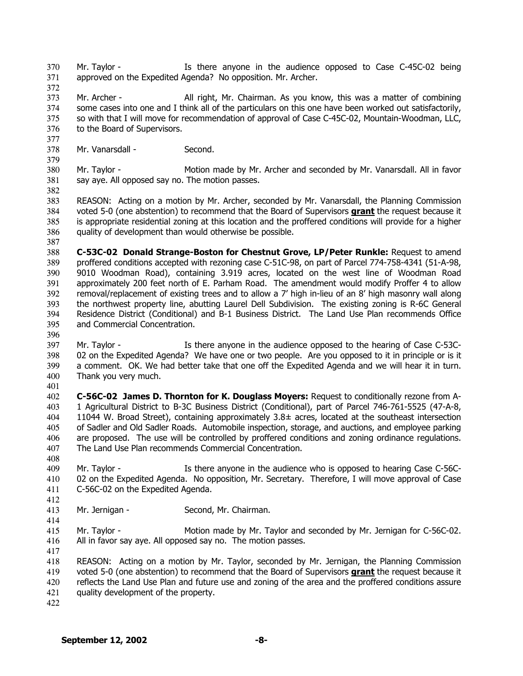Mr. Taylor - The Is there anyone in the audience opposed to Case C-45C-02 being approved on the Expedited Agenda? No opposition. Mr. Archer. 370 371

372

377

379

382

373 374 375 376 Mr. Archer - All right, Mr. Chairman. As you know, this was a matter of combining some cases into one and I think all of the particulars on this one have been worked out satisfactorily, so with that I will move for recommendation of approval of Case C-45C-02, Mountain-Woodman, LLC, to the Board of Supervisors.

378 Mr. Vanarsdall - Second.

380 381 Mr. Taylor - Motion made by Mr. Archer and seconded by Mr. Vanarsdall. All in favor say aye. All opposed say no. The motion passes.

383 REASON: Acting on a motion by Mr. Archer, seconded by Mr. Vanarsdall, the Planning Commission voted 5-0 (one abstention) to recommend that the Board of Supervisors **grant** the request because it is appropriate residential zoning at this location and the proffered conditions will provide for a higher quality of development than would otherwise be possible. 384 385 386

387

388 389 390 391 392 393 394 395 **C-53C-02 Donald Strange-Boston for Chestnut Grove, LP/Peter Runkle:** Request to amend proffered conditions accepted with rezoning case C-51C-98, on part of Parcel 774-758-4341 (51-A-98, 9010 Woodman Road), containing 3.919 acres, located on the west line of Woodman Road approximately 200 feet north of E. Parham Road. The amendment would modify Proffer 4 to allow removal/replacement of existing trees and to allow a 7' high in-lieu of an 8' high masonry wall along the northwest property line, abutting Laurel Dell Subdivision. The existing zoning is R-6C General Residence District (Conditional) and B-1 Business District. The Land Use Plan recommends Office and Commercial Concentration.

396

397 398 399 400 Mr. Taylor - Is there anyone in the audience opposed to the hearing of Case C-53C-02 on the Expedited Agenda? We have one or two people. Are you opposed to it in principle or is it a comment. OK. We had better take that one off the Expedited Agenda and we will hear it in turn. Thank you very much.

401

402 403 404 405 406 407 **C-56C-02 James D. Thornton for K. Douglass Moyers:** Request to conditionally rezone from A-1 Agricultural District to B-3C Business District (Conditional), part of Parcel 746-761-5525 (47-A-8, 11044 W. Broad Street), containing approximately 3.8± acres, located at the southeast intersection of Sadler and Old Sadler Roads. Automobile inspection, storage, and auctions, and employee parking are proposed. The use will be controlled by proffered conditions and zoning ordinance regulations. The Land Use Plan recommends Commercial Concentration.

409 410 411 Mr. Taylor - Is there anyone in the audience who is opposed to hearing Case C-56C-02 on the Expedited Agenda. No opposition, Mr. Secretary. Therefore, I will move approval of Case C-56C-02 on the Expedited Agenda.

412 413

414

408

Mr. Jernigan - Second, Mr. Chairman.

415 416 Mr. Taylor - Motion made by Mr. Taylor and seconded by Mr. Jernigan for C-56C-02. All in favor say aye. All opposed say no. The motion passes.

417

418 REASON: Acting on a motion by Mr. Taylor, seconded by Mr. Jernigan, the Planning Commission voted 5-0 (one abstention) to recommend that the Board of Supervisors **grant** the request because it reflects the Land Use Plan and future use and zoning of the area and the proffered conditions assure quality development of the property. 419 420 421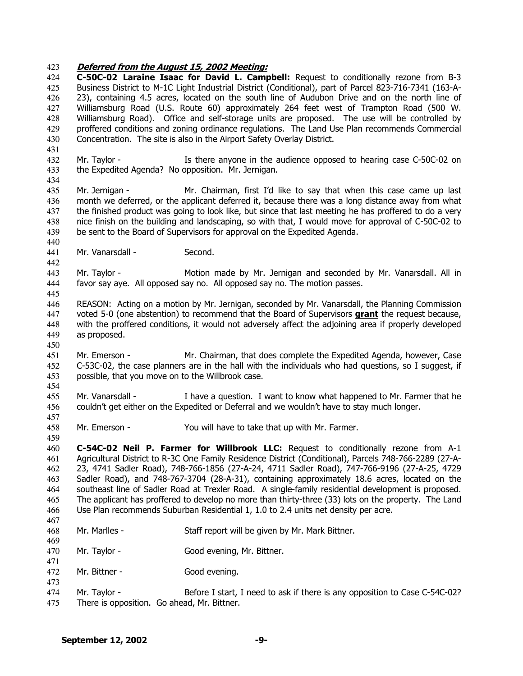## 423 **Deferred from the August 15, 2002 Meeting:**

424 425 426 427 428 429 430 **C-50C-02 Laraine Isaac for David L. Campbell:** Request to conditionally rezone from B-3 Business District to M-1C Light Industrial District (Conditional), part of Parcel 823-716-7341 (163-A-23), containing 4.5 acres, located on the south line of Audubon Drive and on the north line of Williamsburg Road (U.S. Route 60) approximately 264 feet west of Trampton Road (500 W. Williamsburg Road). Office and self-storage units are proposed. The use will be controlled by proffered conditions and zoning ordinance regulations. The Land Use Plan recommends Commercial Concentration. The site is also in the Airport Safety Overlay District.

432 433 Mr. Taylor - Is there anyone in the audience opposed to hearing case C-50C-02 on the Expedited Agenda? No opposition. Mr. Jernigan.

435 436 437 438 439 Mr. Jernigan - Mr. Chairman, first I'd like to say that when this case came up last month we deferred, or the applicant deferred it, because there was a long distance away from what the finished product was going to look like, but since that last meeting he has proffered to do a very nice finish on the building and landscaping, so with that, I would move for approval of C-50C-02 to be sent to the Board of Supervisors for approval on the Expedited Agenda.

441 Mr. Vanarsdall - Second.

431

434

440

442

450

457

459

467

469

471

473

443 444 445 Mr. Taylor - Motion made by Mr. Jernigan and seconded by Mr. Vanarsdall. All in favor say aye. All opposed say no. All opposed say no. The motion passes.

- 446 REASON: Acting on a motion by Mr. Jernigan, seconded by Mr. Vanarsdall, the Planning Commission voted 5-0 (one abstention) to recommend that the Board of Supervisors **grant** the request because, with the proffered conditions, it would not adversely affect the adjoining area if properly developed as proposed. 447 448 449
- 451 452 453 454 Mr. Emerson - Mr. Chairman, that does complete the Expedited Agenda, however, Case C-53C-02, the case planners are in the hall with the individuals who had questions, so I suggest, if possible, that you move on to the Willbrook case.
- 455 456 Mr. Vanarsdall - I have a question. I want to know what happened to Mr. Farmer that he couldn't get either on the Expedited or Deferral and we wouldn't have to stay much longer.
- 458 Mr. Emerson - You will have to take that up with Mr. Farmer.

460 461 462 463 464 465 466 **C-54C-02 Neil P. Farmer for Willbrook LLC:** Request to conditionally rezone from A-1 Agricultural District to R-3C One Family Residence District (Conditional), Parcels 748-766-2289 (27-A-23, 4741 Sadler Road), 748-766-1856 (27-A-24, 4711 Sadler Road), 747-766-9196 (27-A-25, 4729 Sadler Road), and 748-767-3704 (28-A-31), containing approximately 18.6 acres, located on the southeast line of Sadler Road at Trexler Road. A single-family residential development is proposed. The applicant has proffered to develop no more than thirty-three (33) lots on the property. The Land Use Plan recommends Suburban Residential 1, 1.0 to 2.4 units net density per acre.

- 468 Mr. Marlles - Staff report will be given by Mr. Mark Bittner.
- 470 Mr. Taylor - Good evening, Mr. Bittner.
- 472 Mr. Bittner - Good evening.
- 474 475 Mr. Taylor - Before I start, I need to ask if there is any opposition to Case C-54C-02? There is opposition. Go ahead, Mr. Bittner.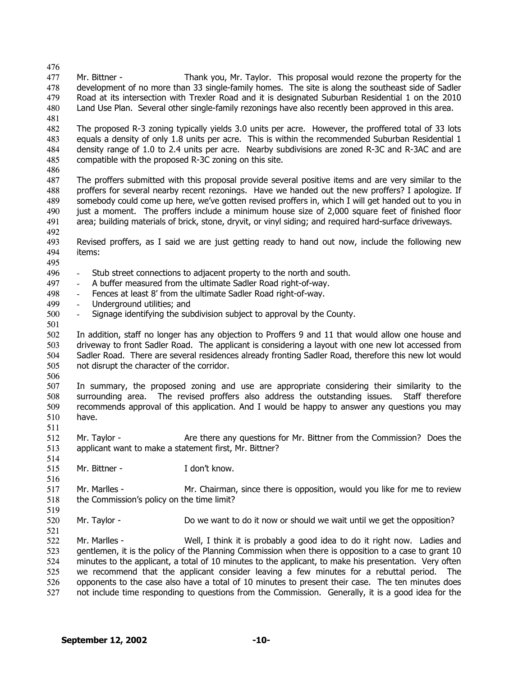476 477 478 479 480 481 482 483 484 485 486 487 488 489 490 491 492 493 494 495 496 497 498 499 500 501 502 503 504 505 506 507 508 509 510 511 512 513 514 515 516 517 518 519 520 521 522 523 524 525 526 Mr. Bittner - Thank you, Mr. Taylor. This proposal would rezone the property for the development of no more than 33 single-family homes. The site is along the southeast side of Sadler Road at its intersection with Trexler Road and it is designated Suburban Residential 1 on the 2010 Land Use Plan. Several other single-family rezonings have also recently been approved in this area. The proposed R-3 zoning typically yields 3.0 units per acre. However, the proffered total of 33 lots equals a density of only 1.8 units per acre. This is within the recommended Suburban Residential 1 density range of 1.0 to 2.4 units per acre. Nearby subdivisions are zoned R-3C and R-3AC and are compatible with the proposed R-3C zoning on this site. The proffers submitted with this proposal provide several positive items and are very similar to the proffers for several nearby recent rezonings. Have we handed out the new proffers? I apologize. If somebody could come up here, we've gotten revised proffers in, which I will get handed out to you in just a moment. The proffers include a minimum house size of 2,000 square feet of finished floor area; building materials of brick, stone, dryvit, or vinyl siding; and required hard-surface driveways. Revised proffers, as I said we are just getting ready to hand out now, include the following new items: Stub street connections to adjacent property to the north and south. A buffer measured from the ultimate Sadler Road right-of-way. - Fences at least 8' from the ultimate Sadler Road right-of-way. Underground utilities; and Signage identifying the subdivision subject to approval by the County. In addition, staff no longer has any objection to Proffers 9 and 11 that would allow one house and driveway to front Sadler Road. The applicant is considering a layout with one new lot accessed from Sadler Road. There are several residences already fronting Sadler Road, therefore this new lot would not disrupt the character of the corridor. In summary, the proposed zoning and use are appropriate considering their similarity to the surrounding area. The revised proffers also address the outstanding issues. Staff therefore recommends approval of this application. And I would be happy to answer any questions you may have. Mr. Taylor - Are there any questions for Mr. Bittner from the Commission? Does the applicant want to make a statement first, Mr. Bittner? Mr. Bittner - The Loop't know. Mr. Marlles - Mr. Chairman, since there is opposition, would you like for me to review the Commission's policy on the time limit? Mr. Taylor - **Do we want to do it now or should we wait until we get the opposition?** Mr. Marlles - Well, I think it is probably a good idea to do it right now. Ladies and gentlemen, it is the policy of the Planning Commission when there is opposition to a case to grant 10 minutes to the applicant, a total of 10 minutes to the applicant, to make his presentation. Very often we recommend that the applicant consider leaving a few minutes for a rebuttal period. The opponents to the case also have a total of 10 minutes to present their case. The ten minutes does

527 not include time responding to questions from the Commission. Generally, it is a good idea for the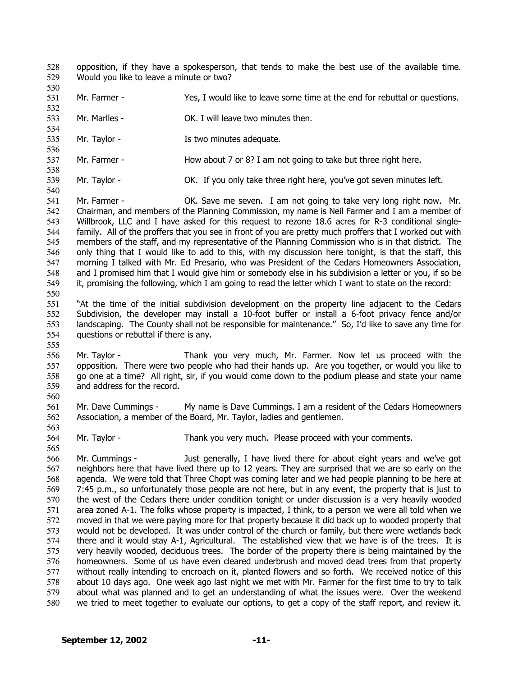- opposition, if they have a spokesperson, that tends to make the best use of the available time. Would you like to leave a minute or two? 528 529
- 531 Mr. Farmer - Yes, I would like to leave some time at the end for rebuttal or questions.
- 533 Mr. Marlles - CK. I will leave two minutes then.
- 535 Mr. Taylor - The Is two minutes adequate.
- 537 Mr. Farmer - How about 7 or 8? I am not going to take but three right here.
- 539 Mr. Taylor - **OK.** If you only take three right here, you've got seven minutes left.
- 541 542 543 544 545 546 547 548 549 550 Mr. Farmer - OK. Save me seven. I am not going to take very long right now. Mr. Chairman, and members of the Planning Commission, my name is Neil Farmer and I am a member of Willbrook, LLC and I have asked for this request to rezone 18.6 acres for R-3 conditional singlefamily. All of the proffers that you see in front of you are pretty much proffers that I worked out with members of the staff, and my representative of the Planning Commission who is in that district. The only thing that I would like to add to this, with my discussion here tonight, is that the staff, this morning I talked with Mr. Ed Presario, who was President of the Cedars Homeowners Association, and I promised him that I would give him or somebody else in his subdivision a letter or you, if so be it, promising the following, which I am going to read the letter which I want to state on the record:
- 551 552 553 554 "At the time of the initial subdivision development on the property line adjacent to the Cedars Subdivision, the developer may install a 10-foot buffer or install a 6-foot privacy fence and/or landscaping. The County shall not be responsible for maintenance." So, I'd like to save any time for questions or rebuttal if there is any.
- 555

530

532

534

536

538

540

556 557 558 559 Mr. Taylor - Thank you very much, Mr. Farmer. Now let us proceed with the opposition. There were two people who had their hands up. Are you together, or would you like to go one at a time? All right, sir, if you would come down to the podium please and state your name and address for the record.

560

563

565

561 562 Mr. Dave Cummings - My name is Dave Cummings. I am a resident of the Cedars Homeowners Association, a member of the Board, Mr. Taylor, ladies and gentlemen.

564 Mr. Taylor - Thank you very much. Please proceed with your comments.

566 567 568 569 570 571 572 573 574 575 576 577 578 579 580 Mr. Cummings - Just generally, I have lived there for about eight years and we've got neighbors here that have lived there up to 12 years. They are surprised that we are so early on the agenda. We were told that Three Chopt was coming later and we had people planning to be here at 7:45 p.m., so unfortunately those people are not here, but in any event, the property that is just to the west of the Cedars there under condition tonight or under discussion is a very heavily wooded area zoned A-1. The folks whose property is impacted, I think, to a person we were all told when we moved in that we were paying more for that property because it did back up to wooded property that would not be developed. It was under control of the church or family, but there were wetlands back there and it would stay A-1, Agricultural. The established view that we have is of the trees. It is very heavily wooded, deciduous trees. The border of the property there is being maintained by the homeowners. Some of us have even cleared underbrush and moved dead trees from that property without really intending to encroach on it, planted flowers and so forth. We received notice of this about 10 days ago. One week ago last night we met with Mr. Farmer for the first time to try to talk about what was planned and to get an understanding of what the issues were. Over the weekend we tried to meet together to evaluate our options, to get a copy of the staff report, and review it.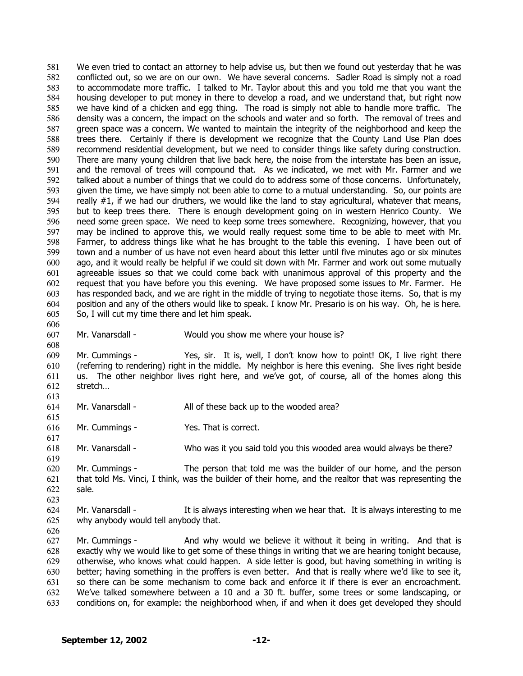We even tried to contact an attorney to help advise us, but then we found out yesterday that he was conflicted out, so we are on our own. We have several concerns. Sadler Road is simply not a road to accommodate more traffic. I talked to Mr. Taylor about this and you told me that you want the housing developer to put money in there to develop a road, and we understand that, but right now we have kind of a chicken and egg thing. The road is simply not able to handle more traffic. The density was a concern, the impact on the schools and water and so forth. The removal of trees and green space was a concern. We wanted to maintain the integrity of the neighborhood and keep the trees there. Certainly if there is development we recognize that the County Land Use Plan does recommend residential development, but we need to consider things like safety during construction. There are many young children that live back here, the noise from the interstate has been an issue, and the removal of trees will compound that. As we indicated, we met with Mr. Farmer and we talked about a number of things that we could do to address some of those concerns. Unfortunately, given the time, we have simply not been able to come to a mutual understanding. So, our points are really  $#1$ , if we had our druthers, we would like the land to stay agricultural, whatever that means, but to keep trees there. There is enough development going on in western Henrico County. We need some green space. We need to keep some trees somewhere. Recognizing, however, that you may be inclined to approve this, we would really request some time to be able to meet with Mr. Farmer, to address things like what he has brought to the table this evening. I have been out of town and a number of us have not even heard about this letter until five minutes ago or six minutes ago, and it would really be helpful if we could sit down with Mr. Farmer and work out some mutually agreeable issues so that we could come back with unanimous approval of this property and the request that you have before you this evening. We have proposed some issues to Mr. Farmer. He has responded back, and we are right in the middle of trying to negotiate those items. So, that is my position and any of the others would like to speak. I know Mr. Presario is on his way. Oh, he is here. So, I will cut my time there and let him speak. 581 582 583 584 585 586 587 588 589 590 591 592 593 594 595 596 597 598 599 600 601 602 603 604 605 606

607 608 Mr. Vanarsdall - Would you show me where your house is?

609 610 611 612 Mr. Cummings - Yes, sir. It is, well, I don't know how to point! OK, I live right there (referring to rendering) right in the middle. My neighbor is here this evening. She lives right beside us. The other neighbor lives right here, and we've got, of course, all of the homes along this stretch…

613 614

615

617

619

623

626

Mr. Vanarsdall - All of these back up to the wooded area?

616 Mr. Cummings - Yes. That is correct.

618 Mr. Vanarsdall - Who was it you said told you this wooded area would always be there?

620 621 622 Mr. Cummings - The person that told me was the builder of our home, and the person that told Ms. Vinci, I think, was the builder of their home, and the realtor that was representing the sale.

624 625 Mr. Vanarsdall - It is always interesting when we hear that. It is always interesting to me why anybody would tell anybody that.

627 628 629 630 631 632 633 Mr. Cummings - And why would we believe it without it being in writing. And that is exactly why we would like to get some of these things in writing that we are hearing tonight because, otherwise, who knows what could happen. A side letter is good, but having something in writing is better; having something in the proffers is even better. And that is really where we'd like to see it, so there can be some mechanism to come back and enforce it if there is ever an encroachment. We've talked somewhere between a 10 and a 30 ft. buffer, some trees or some landscaping, or conditions on, for example: the neighborhood when, if and when it does get developed they should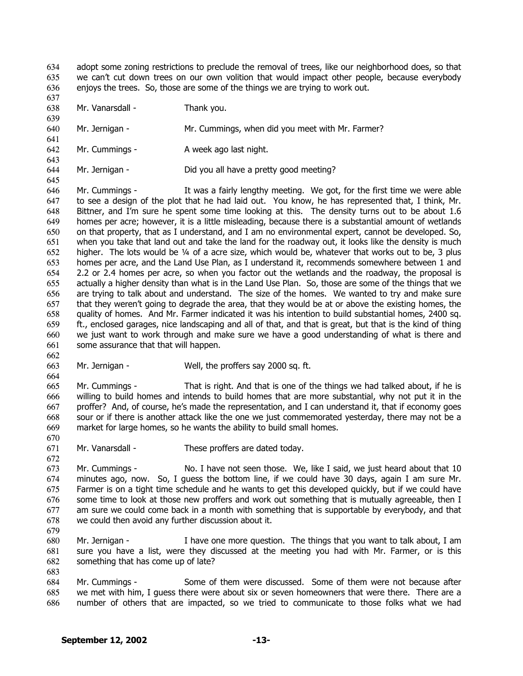adopt some zoning restrictions to preclude the removal of trees, like our neighborhood does, so that we can't cut down trees on our own volition that would impact other people, because everybody enjoys the trees. So, those are some of the things we are trying to work out. 634 635 636

637 638 639

641

643

645

662

664

670

672

Mr. Vanarsdall - Thank you.

640 Mr. Jernigan - Mr. Cummings, when did you meet with Mr. Farmer?

642 Mr. Cummings - A week ago last night.

644 Mr. Jernigan - Did you all have a pretty good meeting?

646 647 648 649 650 651 652 653 654 655 656 657 658 659 660 661 Mr. Cummings - It was a fairly lengthy meeting. We got, for the first time we were able to see a design of the plot that he had laid out. You know, he has represented that, I think, Mr. Bittner, and I'm sure he spent some time looking at this. The density turns out to be about 1.6 homes per acre; however, it is a little misleading, because there is a substantial amount of wetlands on that property, that as I understand, and I am no environmental expert, cannot be developed. So, when you take that land out and take the land for the roadway out, it looks like the density is much higher. The lots would be 1/4 of a acre size, which would be, whatever that works out to be, 3 plus homes per acre, and the Land Use Plan, as I understand it, recommends somewhere between 1 and 2.2 or 2.4 homes per acre, so when you factor out the wetlands and the roadway, the proposal is actually a higher density than what is in the Land Use Plan. So, those are some of the things that we are trying to talk about and understand. The size of the homes. We wanted to try and make sure that they weren't going to degrade the area, that they would be at or above the existing homes, the quality of homes. And Mr. Farmer indicated it was his intention to build substantial homes, 2400 sq. ft., enclosed garages, nice landscaping and all of that, and that is great, but that is the kind of thing we just want to work through and make sure we have a good understanding of what is there and some assurance that that will happen.

663 Mr. Jernigan - Well, the proffers say 2000 sq. ft.

665 666 667 668 669 Mr. Cummings - That is right. And that is one of the things we had talked about, if he is willing to build homes and intends to build homes that are more substantial, why not put it in the proffer? And, of course, he's made the representation, and I can understand it, that if economy goes sour or if there is another attack like the one we just commemorated yesterday, there may not be a market for large homes, so he wants the ability to build small homes.

671 Mr. Vanarsdall - These proffers are dated today.

673 674 675 676 677 678 Mr. Cummings - No. I have not seen those. We, like I said, we just heard about that 10 minutes ago, now. So, I guess the bottom line, if we could have 30 days, again I am sure Mr. Farmer is on a tight time schedule and he wants to get this developed quickly, but if we could have some time to look at those new proffers and work out something that is mutually agreeable, then I am sure we could come back in a month with something that is supportable by everybody, and that we could then avoid any further discussion about it.

- 679
- 680 681 682 683 Mr. Jernigan - I have one more question. The things that you want to talk about, I am sure you have a list, were they discussed at the meeting you had with Mr. Farmer, or is this something that has come up of late?
- 684 685 686 Mr. Cummings - Some of them were discussed. Some of them were not because after we met with him, I guess there were about six or seven homeowners that were there. There are a number of others that are impacted, so we tried to communicate to those folks what we had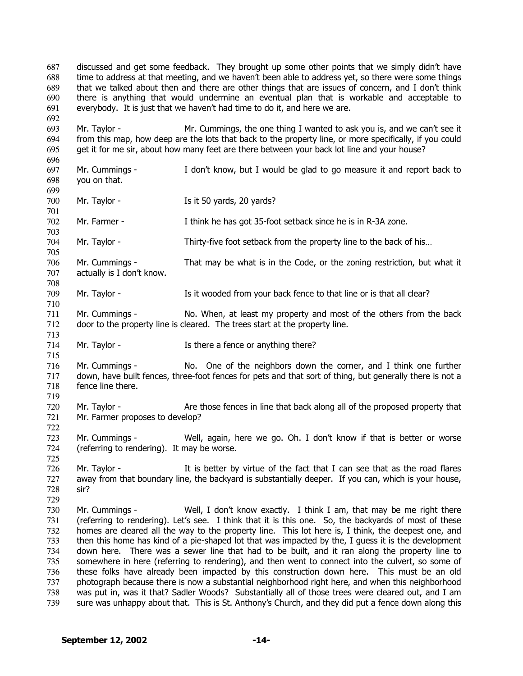discussed and get some feedback. They brought up some other points that we simply didn't have time to address at that meeting, and we haven't been able to address yet, so there were some things that we talked about then and there are other things that are issues of concern, and I don't think there is anything that would undermine an eventual plan that is workable and acceptable to everybody. It is just that we haven't had time to do it, and here we are. 687 688 689 690 691 692 693 694 695 696 697 698 699 700 701 702 703 704 705 706 707 708 709 710 711 712 713 714 715 716 717 718 719 720 721 722 723 724 725 726 727 728 729 730 731 732 733 734 735 736 737 738 739 Mr. Taylor - Mr. Cummings, the one thing I wanted to ask you is, and we can't see it from this map, how deep are the lots that back to the property line, or more specifically, if you could get it for me sir, about how many feet are there between your back lot line and your house? Mr. Cummings - I don't know, but I would be glad to go measure it and report back to you on that. Mr. Taylor - Is it 50 yards, 20 yards? Mr. Farmer - I think he has got 35-foot setback since he is in R-3A zone. Mr. Taylor - Thirty-five foot setback from the property line to the back of his... Mr. Cummings - That may be what is in the Code, or the zoning restriction, but what it actually is I don't know. Mr. Taylor - Is it wooded from your back fence to that line or is that all clear? Mr. Cummings - No. When, at least my property and most of the others from the back door to the property line is cleared. The trees start at the property line. Mr. Taylor - Is there a fence or anything there? Mr. Cummings - No. One of the neighbors down the corner, and I think one further down, have built fences, three-foot fences for pets and that sort of thing, but generally there is not a fence line there. Mr. Taylor - Are those fences in line that back along all of the proposed property that Mr. Farmer proposes to develop? Mr. Cummings - Well, again, here we go. Oh. I don't know if that is better or worse (referring to rendering). It may be worse. Mr. Taylor - It is better by virtue of the fact that I can see that as the road flares away from that boundary line, the backyard is substantially deeper. If you can, which is your house, sir? Mr. Cummings - Well, I don't know exactly. I think I am, that may be me right there (referring to rendering). Let's see. I think that it is this one. So, the backyards of most of these homes are cleared all the way to the property line. This lot here is, I think, the deepest one, and then this home has kind of a pie-shaped lot that was impacted by the, I guess it is the development down here. There was a sewer line that had to be built, and it ran along the property line to somewhere in here (referring to rendering), and then went to connect into the culvert, so some of these folks have already been impacted by this construction down here. This must be an old photograph because there is now a substantial neighborhood right here, and when this neighborhood was put in, was it that? Sadler Woods? Substantially all of those trees were cleared out, and I am sure was unhappy about that. This is St. Anthony's Church, and they did put a fence down along this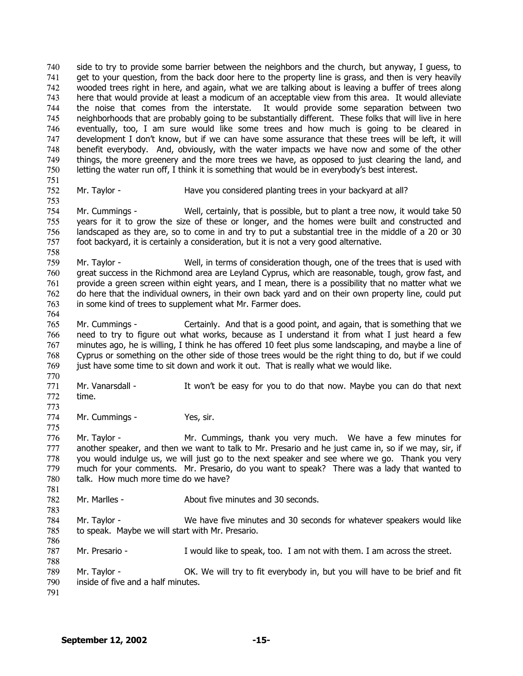side to try to provide some barrier between the neighbors and the church, but anyway, I guess, to get to your question, from the back door here to the property line is grass, and then is very heavily wooded trees right in here, and again, what we are talking about is leaving a buffer of trees along here that would provide at least a modicum of an acceptable view from this area. It would alleviate the noise that comes from the interstate. It would provide some separation between two neighborhoods that are probably going to be substantially different. These folks that will live in here eventually, too, I am sure would like some trees and how much is going to be cleared in development I don't know, but if we can have some assurance that these trees will be left, it will benefit everybody. And, obviously, with the water impacts we have now and some of the other things, the more greenery and the more trees we have, as opposed to just clearing the land, and letting the water run off, I think it is something that would be in everybody's best interest. 740 741 742 743 744 745 746 747 748 749 750 751 752

753

764

770

773

781

783

786

788

Mr. Taylor - **Have you considered planting trees in your backyard at all?** 

754 755 756 757 758 Mr. Cummings - Well, certainly, that is possible, but to plant a tree now, it would take 50 years for it to grow the size of these or longer, and the homes were built and constructed and landscaped as they are, so to come in and try to put a substantial tree in the middle of a 20 or 30 foot backyard, it is certainly a consideration, but it is not a very good alternative.

759 760 761 762 763 Mr. Taylor - Well, in terms of consideration though, one of the trees that is used with great success in the Richmond area are Leyland Cyprus, which are reasonable, tough, grow fast, and provide a green screen within eight years, and I mean, there is a possibility that no matter what we do here that the individual owners, in their own back yard and on their own property line, could put in some kind of trees to supplement what Mr. Farmer does.

765 766 767 768 769 Mr. Cummings - Certainly. And that is a good point, and again, that is something that we need to try to figure out what works, because as I understand it from what I just heard a few minutes ago, he is willing, I think he has offered 10 feet plus some landscaping, and maybe a line of Cyprus or something on the other side of those trees would be the right thing to do, but if we could just have some time to sit down and work it out. That is really what we would like.

771 772 Mr. Vanarsdall - It won't be easy for you to do that now. Maybe you can do that next time.

774 Mr. Cummings - Yes, sir.

775 776 777 778 779 780 Mr. Taylor - Mr. Cummings, thank you very much. We have a few minutes for another speaker, and then we want to talk to Mr. Presario and he just came in, so if we may, sir, if you would indulge us, we will just go to the next speaker and see where we go. Thank you very much for your comments. Mr. Presario, do you want to speak? There was a lady that wanted to talk. How much more time do we have?

782 Mr. Marlles - About five minutes and 30 seconds.

784 785 Mr. Taylor - We have five minutes and 30 seconds for whatever speakers would like to speak. Maybe we will start with Mr. Presario.

787 Mr. Presario - I would like to speak, too. I am not with them. I am across the street.

789 790 Mr. Taylor - **OK.** We will try to fit everybody in, but you will have to be brief and fit inside of five and a half minutes.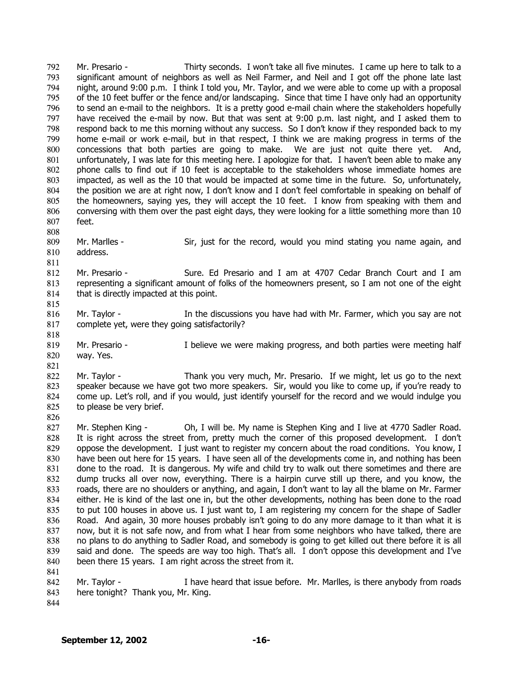Mr. Presario - Thirty seconds. I won't take all five minutes. I came up here to talk to a significant amount of neighbors as well as Neil Farmer, and Neil and I got off the phone late last night, around 9:00 p.m. I think I told you, Mr. Taylor, and we were able to come up with a proposal of the 10 feet buffer or the fence and/or landscaping. Since that time I have only had an opportunity to send an e-mail to the neighbors. It is a pretty good e-mail chain where the stakeholders hopefully have received the e-mail by now. But that was sent at 9:00 p.m. last night, and I asked them to respond back to me this morning without any success. So I don't know if they responded back to my home e-mail or work e-mail, but in that respect, I think we are making progress in terms of the concessions that both parties are going to make. We are just not quite there yet. And, unfortunately, I was late for this meeting here. I apologize for that. I haven't been able to make any phone calls to find out if 10 feet is acceptable to the stakeholders whose immediate homes are impacted, as well as the 10 that would be impacted at some time in the future. So, unfortunately, the position we are at right now, I don't know and I don't feel comfortable in speaking on behalf of the homeowners, saying yes, they will accept the 10 feet. I know from speaking with them and conversing with them over the past eight days, they were looking for a little something more than 10 feet. 792 793 794 795 796 797 798 799 800 801 802 803 804 805 806 807

809 810 Mr. Marlles - Sir, just for the record, would you mind stating you name again, and address.

812 813 814 Mr. Presario - Sure. Ed Presario and I am at 4707 Cedar Branch Court and I am representing a significant amount of folks of the homeowners present, so I am not one of the eight that is directly impacted at this point.

816 817 Mr. Taylor - The discussions you have had with Mr. Farmer, which you say are not complete yet, were they going satisfactorily?

819 820 Mr. Presario - **I** believe we were making progress, and both parties were meeting half way. Yes.

821 822 823 824 825 Mr. Taylor - Thank you very much, Mr. Presario. If we might, let us go to the next speaker because we have got two more speakers. Sir, would you like to come up, if you're ready to come up. Let's roll, and if you would, just identify yourself for the record and we would indulge you to please be very brief.

827 828 829 830 831 832 833 834 835 836 837 838 839 840 841 Mr. Stephen King - Oh, I will be. My name is Stephen King and I live at 4770 Sadler Road. It is right across the street from, pretty much the corner of this proposed development. I don't oppose the development. I just want to register my concern about the road conditions. You know, I have been out here for 15 years. I have seen all of the developments come in, and nothing has been done to the road. It is dangerous. My wife and child try to walk out there sometimes and there are dump trucks all over now, everything. There is a hairpin curve still up there, and you know, the roads, there are no shoulders or anything, and again, I don't want to lay all the blame on Mr. Farmer either. He is kind of the last one in, but the other developments, nothing has been done to the road to put 100 houses in above us. I just want to, I am registering my concern for the shape of Sadler Road. And again, 30 more houses probably isn't going to do any more damage to it than what it is now, but it is not safe now, and from what I hear from some neighbors who have talked, there are no plans to do anything to Sadler Road, and somebody is going to get killed out there before it is all said and done. The speeds are way too high. That's all. I don't oppose this development and I've been there 15 years. I am right across the street from it.

- 842 843 Mr. Taylor - Thave heard that issue before. Mr. Marlles, is there anybody from roads here tonight? Thank you, Mr. King.
- 844

808

811

815

818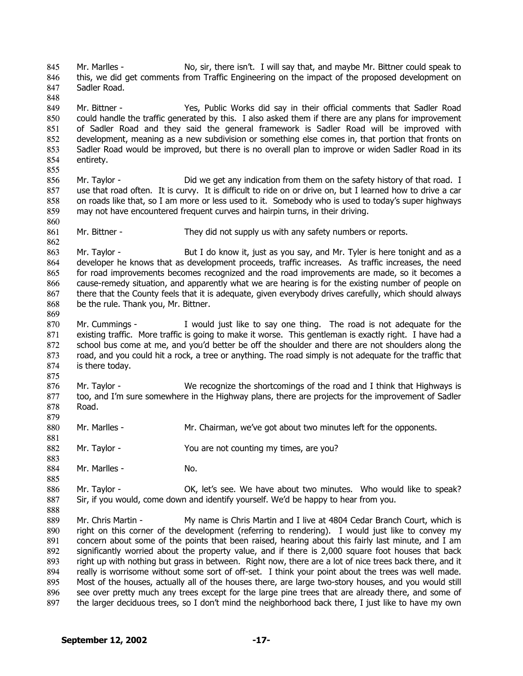Mr. Marlles - No, sir, there isn't. I will say that, and maybe Mr. Bittner could speak to this, we did get comments from Traffic Engineering on the impact of the proposed development on Sadler Road. 845 846 847

849 850 851 852 853 854 Mr. Bittner - Yes, Public Works did say in their official comments that Sadler Road could handle the traffic generated by this. I also asked them if there are any plans for improvement of Sadler Road and they said the general framework is Sadler Road will be improved with development, meaning as a new subdivision or something else comes in, that portion that fronts on Sadler Road would be improved, but there is no overall plan to improve or widen Sadler Road in its entirety.

856 857 858 859 Mr. Taylor - **Did we get any indication from them on the safety history of that road.** I use that road often. It is curvy. It is difficult to ride on or drive on, but I learned how to drive a car on roads like that, so I am more or less used to it. Somebody who is used to today's super highways may not have encountered frequent curves and hairpin turns, in their driving.

861 Mr. Bittner - They did not supply us with any safety numbers or reports.

863 864 865 866 867 868 Mr. Taylor - But I do know it, just as you say, and Mr. Tyler is here tonight and as a developer he knows that as development proceeds, traffic increases. As traffic increases, the need for road improvements becomes recognized and the road improvements are made, so it becomes a cause-remedy situation, and apparently what we are hearing is for the existing number of people on there that the County feels that it is adequate, given everybody drives carefully, which should always be the rule. Thank you, Mr. Bittner.

870 871 872 873 874 Mr. Cummings - I would just like to say one thing. The road is not adequate for the existing traffic. More traffic is going to make it worse. This gentleman is exactly right. I have had a school bus come at me, and you'd better be off the shoulder and there are not shoulders along the road, and you could hit a rock, a tree or anything. The road simply is not adequate for the traffic that is there today.

876 877 878 879 Mr. Taylor - We recognize the shortcomings of the road and I think that Highways is too, and I'm sure somewhere in the Highway plans, there are projects for the improvement of Sadler Road.

880 Mr. Marlles - Mr. Chairman, we've got about two minutes left for the opponents.

882 Mr. Taylor - You are not counting my times, are you?

884 Mr. Marlles - No.

848

855

860

862

869

875

881

883

885

888

886 887 Mr. Taylor - **OK, let's see.** We have about two minutes. Who would like to speak? Sir, if you would, come down and identify yourself. We'd be happy to hear from you.

889 890 891 892 893 894 895 896 897 Mr. Chris Martin - My name is Chris Martin and I live at 4804 Cedar Branch Court, which is right on this corner of the development (referring to rendering). I would just like to convey my concern about some of the points that been raised, hearing about this fairly last minute, and I am significantly worried about the property value, and if there is 2,000 square foot houses that back right up with nothing but grass in between. Right now, there are a lot of nice trees back there, and it really is worrisome without some sort of off-set. I think your point about the trees was well made. Most of the houses, actually all of the houses there, are large two-story houses, and you would still see over pretty much any trees except for the large pine trees that are already there, and some of the larger deciduous trees, so I don't mind the neighborhood back there, I just like to have my own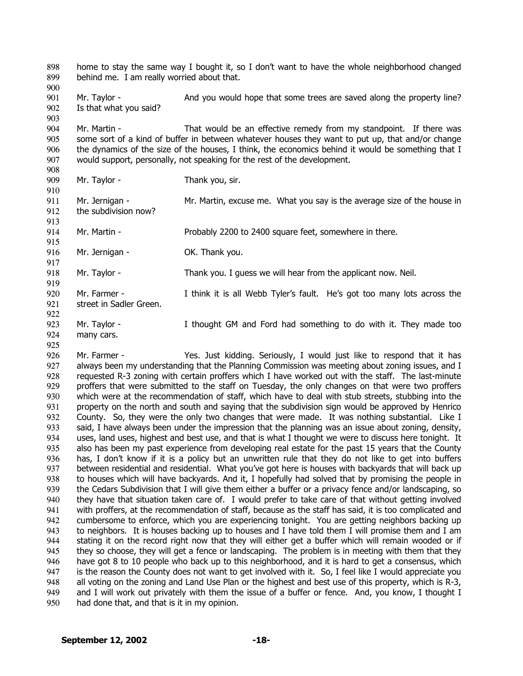home to stay the same way I bought it, so I don't want to have the whole neighborhood changed behind me. I am really worried about that. 898 899 900

901 902 903 Mr. Taylor - And you would hope that some trees are saved along the property line? Is that what you said?

904 905 906 907 Mr. Martin - That would be an effective remedy from my standpoint. If there was some sort of a kind of buffer in between whatever houses they want to put up, that and/or change the dynamics of the size of the houses, I think, the economics behind it would be something that I would support, personally, not speaking for the rest of the development.

908 909

910

918 919

925

Mr. Taylor - Thank you, sir.

911 912 913 Mr. Jernigan - Mr. Martin, excuse me. What you say is the average size of the house in the subdivision now?

914 Mr. Martin - **Probably 2200 to 2400 square feet, somewhere in there.** 

915 916 917 Mr. Jernigan - **OK. Thank you.** 

Mr. Taylor - Thank you. I guess we will hear from the applicant now. Neil.

920 921 Mr. Farmer - I think it is all Webb Tyler's fault. He's got too many lots across the street in Sadler Green.

922 923 924 Mr. Taylor - I thought GM and Ford had something to do with it. They made too many cars.

926 927 928 929 930 931 932 933 934 935 936 937 938 939 940 941 942 943 944 945 946 947 948 949 950 Mr. Farmer - Yes. Just kidding. Seriously, I would just like to respond that it has always been my understanding that the Planning Commission was meeting about zoning issues, and I requested R-3 zoning with certain proffers which I have worked out with the staff. The last-minute proffers that were submitted to the staff on Tuesday, the only changes on that were two proffers which were at the recommendation of staff, which have to deal with stub streets, stubbing into the property on the north and south and saying that the subdivision sign would be approved by Henrico County. So, they were the only two changes that were made. It was nothing substantial. Like I said, I have always been under the impression that the planning was an issue about zoning, density, uses, land uses, highest and best use, and that is what I thought we were to discuss here tonight. It also has been my past experience from developing real estate for the past 15 years that the County has, I don't know if it is a policy but an unwritten rule that they do not like to get into buffers between residential and residential. What you've got here is houses with backyards that will back up to houses which will have backyards. And it, I hopefully had solved that by promising the people in the Cedars Subdivision that I will give them either a buffer or a privacy fence and/or landscaping, so they have that situation taken care of. I would prefer to take care of that without getting involved with proffers, at the recommendation of staff, because as the staff has said, it is too complicated and cumbersome to enforce, which you are experiencing tonight. You are getting neighbors backing up to neighbors. It is houses backing up to houses and I have told them I will promise them and I am stating it on the record right now that they will either get a buffer which will remain wooded or if they so choose, they will get a fence or landscaping. The problem is in meeting with them that they have got 8 to 10 people who back up to this neighborhood, and it is hard to get a consensus, which is the reason the County does not want to get involved with it. So, I feel like I would appreciate you all voting on the zoning and Land Use Plan or the highest and best use of this property, which is R-3, and I will work out privately with them the issue of a buffer or fence. And, you know, I thought I had done that, and that is it in my opinion.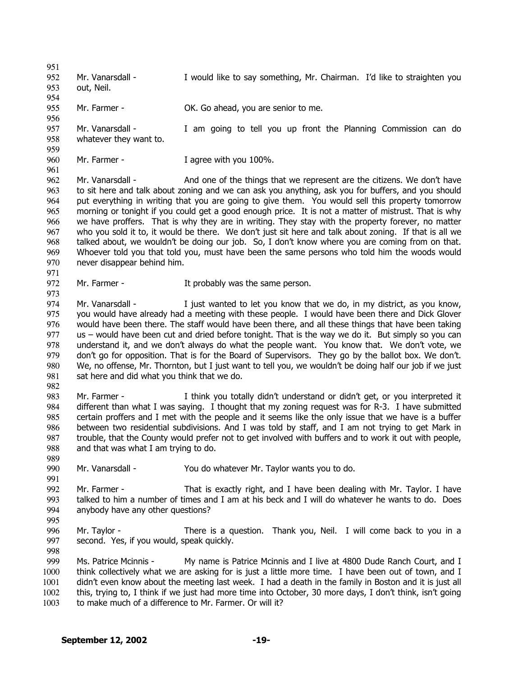951 952 953 954 955 956 957 958 959 960 961 962 963 964 965 966 967 968 969 970 971 972 973 974 975 976 977 978 979 980 981 982 983 984 985 986 987 988 989 990 991 992 993 994 995 996 997 998 999 1000 1001 1002 Mr. Vanarsdall - I would like to say something, Mr. Chairman. I'd like to straighten you out, Neil. Mr. Farmer - CK. Go ahead, you are senior to me. Mr. Vanarsdall - I am going to tell you up front the Planning Commission can do whatever they want to. Mr. Farmer - Tagree with you 100%. Mr. Vanarsdall - And one of the things that we represent are the citizens. We don't have to sit here and talk about zoning and we can ask you anything, ask you for buffers, and you should put everything in writing that you are going to give them. You would sell this property tomorrow morning or tonight if you could get a good enough price. It is not a matter of mistrust. That is why we have proffers. That is why they are in writing. They stay with the property forever, no matter who you sold it to, it would be there. We don't just sit here and talk about zoning. If that is all we talked about, we wouldn't be doing our job. So, I don't know where you are coming from on that. Whoever told you that told you, must have been the same persons who told him the woods would never disappear behind him. Mr. Farmer - The Music Stephen Stephen It probably was the same person. Mr. Vanarsdall - Tiust wanted to let you know that we do, in my district, as you know, you would have already had a meeting with these people. I would have been there and Dick Glover would have been there. The staff would have been there, and all these things that have been taking us – would have been cut and dried before tonight. That is the way we do it. But simply so you can understand it, and we don't always do what the people want. You know that. We don't vote, we don't go for opposition. That is for the Board of Supervisors. They go by the ballot box. We don't. We, no offense, Mr. Thornton, but I just want to tell you, we wouldn't be doing half our job if we just sat here and did what you think that we do. Mr. Farmer - I think you totally didn't understand or didn't get, or you interpreted it different than what I was saying. I thought that my zoning request was for R-3. I have submitted certain proffers and I met with the people and it seems like the only issue that we have is a buffer between two residential subdivisions. And I was told by staff, and I am not trying to get Mark in trouble, that the County would prefer not to get involved with buffers and to work it out with people, and that was what I am trying to do. Mr. Vanarsdall - You do whatever Mr. Taylor wants you to do. Mr. Farmer - That is exactly right, and I have been dealing with Mr. Taylor. I have talked to him a number of times and I am at his beck and I will do whatever he wants to do. Does anybody have any other questions? Mr. Taylor - There is a question. Thank you, Neil. I will come back to you in a second. Yes, if you would, speak quickly. Ms. Patrice Mcinnis - My name is Patrice Mcinnis and I live at 4800 Dude Ranch Court, and I think collectively what we are asking for is just a little more time. I have been out of town, and I didn't even know about the meeting last week. I had a death in the family in Boston and it is just all this, trying to, I think if we just had more time into October, 30 more days, I don't think, isn't going

1003 to make much of a difference to Mr. Farmer. Or will it?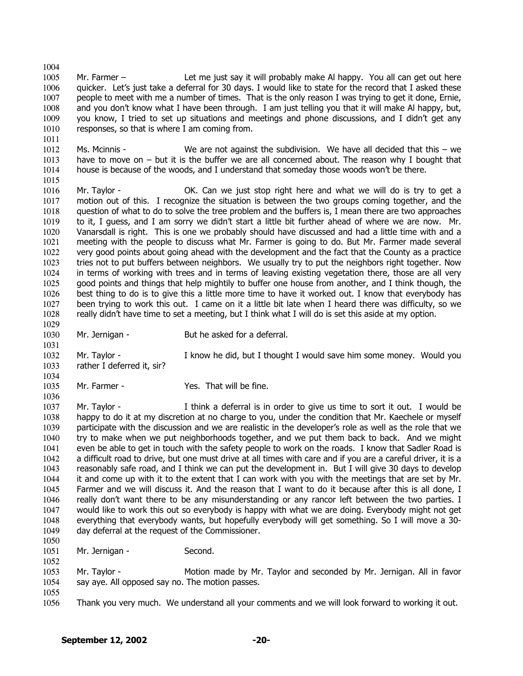1004 1005 1006 1007 1008 1009 1010 Mr. Farmer – Let me just say it will probably make Al happy. You all can get out here quicker. Let's just take a deferral for 30 days. I would like to state for the record that I asked these people to meet with me a number of times. That is the only reason I was trying to get it done, Ernie, and you don't know what I have been through. I am just telling you that it will make Al happy, but, you know, I tried to set up situations and meetings and phone discussions, and I didn't get any responses, so that is where I am coming from.

1012 1013 1014 1015 Ms. Mcinnis - We are not against the subdivision. We have all decided that this – we have to move on – but it is the buffer we are all concerned about. The reason why I bought that house is because of the woods, and I understand that someday those woods won't be there.

1016 1017 1018 1019 1020 1021 1022 1023 1024 1025 1026 1027 1028 Mr. Taylor - **OK.** Can we just stop right here and what we will do is try to get a motion out of this. I recognize the situation is between the two groups coming together, and the question of what to do to solve the tree problem and the buffers is, I mean there are two approaches to it, I guess, and I am sorry we didn't start a little bit further ahead of where we are now. Mr. Vanarsdall is right. This is one we probably should have discussed and had a little time with and a meeting with the people to discuss what Mr. Farmer is going to do. But Mr. Farmer made several very good points about going ahead with the development and the fact that the County as a practice tries not to put buffers between neighbors. We usually try to put the neighbors right together. Now in terms of working with trees and in terms of leaving existing vegetation there, those are all very good points and things that help mightily to buffer one house from another, and I think though, the best thing to do is to give this a little more time to have it worked out. I know that everybody has been trying to work this out. I came on it a little bit late when I heard there was difficulty, so we really didn't have time to set a meeting, but I think what I will do is set this aside at my option.

1029 1030

1036

1011

Mr. Jernigan - But he asked for a deferral.

1031 1032 1033 1034 Mr. Taylor - I know he did, but I thought I would save him some money. Would you rather I deferred it, sir?

1035 Mr. Farmer - That will be fine.

1037 1038 1039 1040 1041 1042 1043 1044 1045 1046 1047 1048 1049 1050 Mr. Taylor - I think a deferral is in order to give us time to sort it out. I would be happy to do it at my discretion at no charge to you, under the condition that Mr. Kaechele or myself participate with the discussion and we are realistic in the developer's role as well as the role that we try to make when we put neighborhoods together, and we put them back to back. And we might even be able to get in touch with the safety people to work on the roads. I know that Sadler Road is a difficult road to drive, but one must drive at all times with care and if you are a careful driver, it is a reasonably safe road, and I think we can put the development in. But I will give 30 days to develop it and come up with it to the extent that I can work with you with the meetings that are set by Mr. Farmer and we will discuss it. And the reason that I want to do it because after this is all done, I really don't want there to be any misunderstanding or any rancor left between the two parties. I would like to work this out so everybody is happy with what we are doing. Everybody might not get everything that everybody wants, but hopefully everybody will get something. So I will move a 30 day deferral at the request of the Commissioner.

1051 Mr. Jernigan - Second.

1053 1054 Mr. Taylor - Motion made by Mr. Taylor and seconded by Mr. Jernigan. All in favor say aye. All opposed say no. The motion passes.

1055

1052

1056 Thank you very much. We understand all your comments and we will look forward to working it out.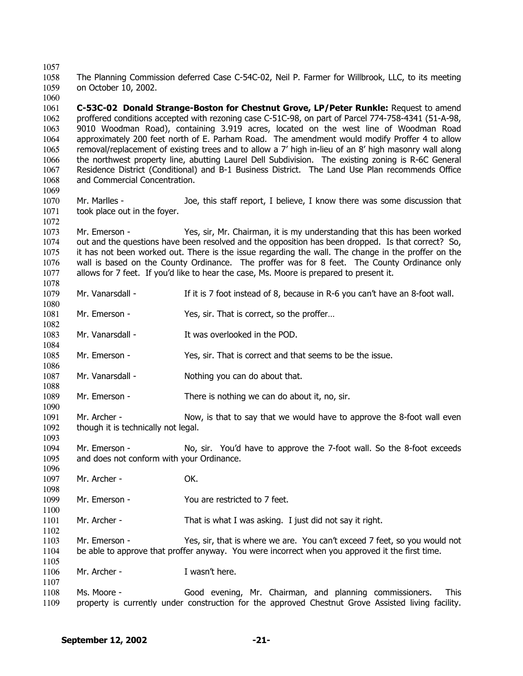1057

1080

1084

1086

1098

1100

1105

1107

1058 1059 The Planning Commission deferred Case C-54C-02, Neil P. Farmer for Willbrook, LLC, to its meeting on October 10, 2002.

1060 1061 1062 1063 1064 1065 1066 1067 1068 1069 **C-53C-02 Donald Strange-Boston for Chestnut Grove, LP/Peter Runkle:** Request to amend proffered conditions accepted with rezoning case C-51C-98, on part of Parcel 774-758-4341 (51-A-98, 9010 Woodman Road), containing 3.919 acres, located on the west line of Woodman Road approximately 200 feet north of E. Parham Road. The amendment would modify Proffer 4 to allow removal/replacement of existing trees and to allow a 7' high in-lieu of an 8' high masonry wall along the northwest property line, abutting Laurel Dell Subdivision. The existing zoning is R-6C General Residence District (Conditional) and B-1 Business District. The Land Use Plan recommends Office and Commercial Concentration.

1070 1071 1072 Mr. Marlles - Joe, this staff report, I believe, I know there was some discussion that took place out in the foyer.

1073 1074 1075 1076 1077 1078 Mr. Emerson - Yes, sir, Mr. Chairman, it is my understanding that this has been worked out and the questions have been resolved and the opposition has been dropped. Is that correct? So, it has not been worked out. There is the issue regarding the wall. The change in the proffer on the wall is based on the County Ordinance. The proffer was for 8 feet. The County Ordinance only allows for 7 feet. If you'd like to hear the case, Ms. Moore is prepared to present it.

1079 Mr. Vanarsdall - If it is 7 foot instead of 8, because in R-6 you can't have an 8-foot wall.

1081 1082 Mr. Emerson - Yes, sir. That is correct, so the proffer...

1083 Mr. Vanarsdall - The Mus overlooked in the POD.

1085 Mr. Emerson - Yes, sir. That is correct and that seems to be the issue.

1087 1088 Mr. Vanarsdall - Nothing you can do about that.

1089 1090 Mr. Emerson - There is nothing we can do about it, no, sir.

1091 1092 1093 Mr. Archer - Now, is that to say that we would have to approve the 8-foot wall even though it is technically not legal.

1094 1095 1096 Mr. Emerson - No, sir. You'd have to approve the 7-foot wall. So the 8-foot exceeds and does not conform with your Ordinance.

1097 Mr. Archer - OK.

1099 Mr. Emerson - You are restricted to 7 feet.

1101 1102 Mr. Archer - That is what I was asking. I just did not say it right.

1103 1104 Mr. Emerson - Yes, sir, that is where we are. You can't exceed 7 feet, so you would not be able to approve that proffer anyway. You were incorrect when you approved it the first time.

1106 Mr. Archer - Twasn't here.

1108 1109 Ms. Moore - Good evening, Mr. Chairman, and planning commissioners. This property is currently under construction for the approved Chestnut Grove Assisted living facility.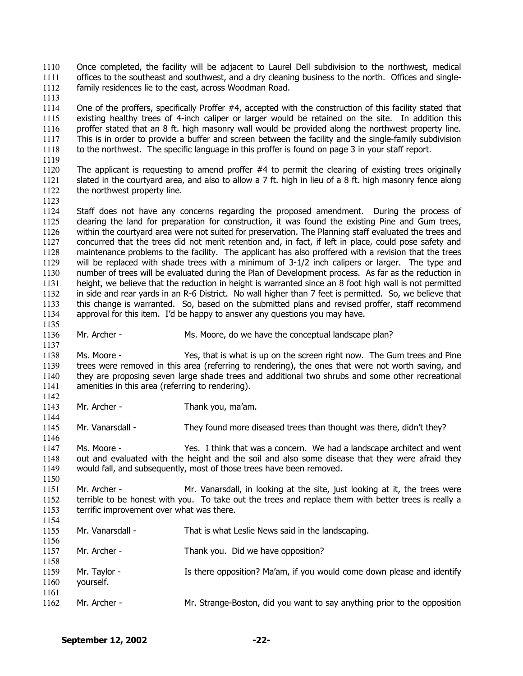Once completed, the facility will be adjacent to Laurel Dell subdivision to the northwest, medical offices to the southeast and southwest, and a dry cleaning business to the north. Offices and singlefamily residences lie to the east, across Woodman Road. 1110 1111 1112

1114 1115 1116 1117 1118 One of the proffers, specifically Proffer #4, accepted with the construction of this facility stated that existing healthy trees of 4-inch caliper or larger would be retained on the site. In addition this proffer stated that an 8 ft. high masonry wall would be provided along the northwest property line. This is in order to provide a buffer and screen between the facility and the single-family subdivision to the northwest. The specific language in this proffer is found on page 3 in your staff report.

1120 1121 1122 The applicant is requesting to amend proffer  $#4$  to permit the clearing of existing trees originally slated in the courtyard area, and also to allow a 7 ft. high in lieu of a 8 ft. high masonry fence along the northwest property line.

1123

1135

1137

1142

1144

1146

1150

1119

1113

1124 1125 1126 1127 1128 1129 1130 1131 1132 1133 1134 Staff does not have any concerns regarding the proposed amendment. During the process of clearing the land for preparation for construction, it was found the existing Pine and Gum trees, within the courtyard area were not suited for preservation. The Planning staff evaluated the trees and concurred that the trees did not merit retention and, in fact, if left in place, could pose safety and maintenance problems to the facility. The applicant has also proffered with a revision that the trees will be replaced with shade trees with a minimum of 3-1/2 inch calipers or larger. The type and number of trees will be evaluated during the Plan of Development process. As far as the reduction in height, we believe that the reduction in height is warranted since an 8 foot high wall is not permitted in side and rear yards in an R-6 District. No wall higher than 7 feet is permitted. So, we believe that this change is warranted. So, based on the submitted plans and revised proffer, staff recommend approval for this item. I'd be happy to answer any questions you may have.

1136 Mr. Archer - Ms. Moore, do we have the conceptual landscape plan?

1138 1139 1140 1141 Ms. Moore - Yes, that is what is up on the screen right now. The Gum trees and Pine trees were removed in this area (referring to rendering), the ones that were not worth saving, and they are proposing seven large shade trees and additional two shrubs and some other recreational amenities in this area (referring to rendering).

1143 Mr. Archer - Thank you, ma'am.

1145 Mr. Vanarsdall - They found more diseased trees than thought was there, didn't they?

1147 1148 1149 Ms. Moore - Yes. I think that was a concern. We had a landscape architect and went out and evaluated with the height and the soil and also some disease that they were afraid they would fall, and subsequently, most of those trees have been removed.

1151 1152 1153 Mr. Archer - Mr. Vanarsdall, in looking at the site, just looking at it, the trees were terrible to be honest with you. To take out the trees and replace them with better trees is really a terrific improvement over what was there.

1154 1155 1156 1157 1158 1159 1160 1161 1162 Mr. Vanarsdall - That is what Leslie News said in the landscaping. Mr. Archer - Thank you. Did we have opposition? Mr. Taylor - Is there opposition? Ma'am, if you would come down please and identify yourself. Mr. Archer - Mr. Strange-Boston, did you want to say anything prior to the opposition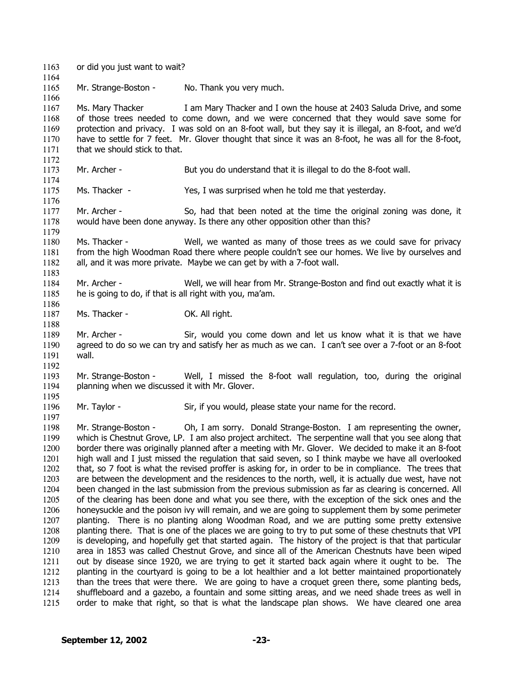1163 or did you just want to wait? 1164 1165 1166 1167 1168 1169 1170 1171 1172 1173 1174 1175 1176 1177 1178 1179 1180 1181 1182 1183 1184 1185 1186 1187 1188 1189 1190 1191 1192 1193 1194 1195 1196 1197 1198 1199 1200 1201 1202 1203 1204 1205 1206 1207 1208 1209 1210 1211 1212 1213 1214 1215 Mr. Strange-Boston - No. Thank you very much. Ms. Mary Thacker I am Mary Thacker and I own the house at 2403 Saluda Drive, and some of those trees needed to come down, and we were concerned that they would save some for protection and privacy. I was sold on an 8-foot wall, but they say it is illegal, an 8-foot, and we'd have to settle for 7 feet. Mr. Glover thought that since it was an 8-foot, he was all for the 8-foot, that we should stick to that. Mr. Archer - But you do understand that it is illegal to do the 8-foot wall. Ms. Thacker - Yes, I was surprised when he told me that yesterday. Mr. Archer - So, had that been noted at the time the original zoning was done, it would have been done anyway. Is there any other opposition other than this? Ms. Thacker - Well, we wanted as many of those trees as we could save for privacy from the high Woodman Road there where people couldn't see our homes. We live by ourselves and all, and it was more private. Maybe we can get by with a 7-foot wall. Mr. Archer - Well, we will hear from Mr. Strange-Boston and find out exactly what it is he is going to do, if that is all right with you, ma'am. Ms. Thacker - OK. All right. Mr. Archer - Sir, would you come down and let us know what it is that we have agreed to do so we can try and satisfy her as much as we can. I can't see over a 7-foot or an 8-foot wall. Mr. Strange-Boston - Well, I missed the 8-foot wall regulation, too, during the original planning when we discussed it with Mr. Glover. Mr. Taylor - Sir, if you would, please state your name for the record. Mr. Strange-Boston - Oh, I am sorry. Donald Strange-Boston. I am representing the owner, which is Chestnut Grove, LP. I am also project architect. The serpentine wall that you see along that border there was originally planned after a meeting with Mr. Glover. We decided to make it an 8-foot high wall and I just missed the regulation that said seven, so I think maybe we have all overlooked that, so 7 foot is what the revised proffer is asking for, in order to be in compliance. The trees that are between the development and the residences to the north, well, it is actually due west, have not been changed in the last submission from the previous submission as far as clearing is concerned. All of the clearing has been done and what you see there, with the exception of the sick ones and the honeysuckle and the poison ivy will remain, and we are going to supplement them by some perimeter planting. There is no planting along Woodman Road, and we are putting some pretty extensive planting there. That is one of the places we are going to try to put some of these chestnuts that VPI is developing, and hopefully get that started again. The history of the project is that that particular area in 1853 was called Chestnut Grove, and since all of the American Chestnuts have been wiped out by disease since 1920, we are trying to get it started back again where it ought to be. The planting in the courtyard is going to be a lot healthier and a lot better maintained proportionately than the trees that were there. We are going to have a croquet green there, some planting beds, shuffleboard and a gazebo, a fountain and some sitting areas, and we need shade trees as well in order to make that right, so that is what the landscape plan shows. We have cleared one area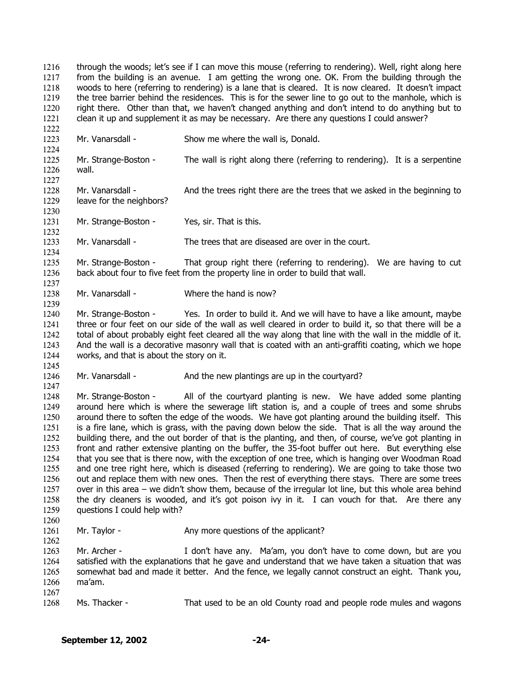through the woods; let's see if I can move this mouse (referring to rendering). Well, right along here from the building is an avenue. I am getting the wrong one. OK. From the building through the woods to here (referring to rendering) is a lane that is cleared. It is now cleared. It doesn't impact the tree barrier behind the residences. This is for the sewer line to go out to the manhole, which is right there. Other than that, we haven't changed anything and don't intend to do anything but to clean it up and supplement it as may be necessary. Are there any questions I could answer? 1216 1217 1218 1219 1220 1221

1223 Mr. Vanarsdall - Show me where the wall is, Donald.

1225 1226 Mr. Strange-Boston - The wall is right along there (referring to rendering). It is a serpentine wall.

- 1228 1229 Mr. Vanarsdall - And the trees right there are the trees that we asked in the beginning to leave for the neighbors?
- 1231 Mr. Strange-Boston - Yes, sir. That is this.

1222

1224

1227

1230

1232

1234

1237

1239

1245

1247

1260

1262

- 1233 Mr. Vanarsdall - The trees that are diseased are over in the court.
- 1235 1236 Mr. Strange-Boston - That group right there (referring to rendering). We are having to cut back about four to five feet from the property line in order to build that wall.
- 1238 Mr. Vanarsdall - Where the hand is now?
- 1240 1241 1242 1243 1244 Mr. Strange-Boston - Yes. In order to build it. And we will have to have a like amount, maybe three or four feet on our side of the wall as well cleared in order to build it, so that there will be a total of about probably eight feet cleared all the way along that line with the wall in the middle of it. And the wall is a decorative masonry wall that is coated with an anti-graffiti coating, which we hope works, and that is about the story on it.
- 1246 Mr. Vanarsdall - And the new plantings are up in the courtyard?

1248 1249 1250 1251 1252 1253 1254 1255 1256 1257 1258 1259 Mr. Strange-Boston - All of the courtyard planting is new. We have added some planting around here which is where the sewerage lift station is, and a couple of trees and some shrubs around there to soften the edge of the woods. We have got planting around the building itself. This is a fire lane, which is grass, with the paving down below the side. That is all the way around the building there, and the out border of that is the planting, and then, of course, we've got planting in front and rather extensive planting on the buffer, the 35-foot buffer out here. But everything else that you see that is there now, with the exception of one tree, which is hanging over Woodman Road and one tree right here, which is diseased (referring to rendering). We are going to take those two out and replace them with new ones. Then the rest of everything there stays. There are some trees over in this area – we didn't show them, because of the irregular lot line, but this whole area behind the dry cleaners is wooded, and it's got poison ivy in it. I can vouch for that. Are there any questions I could help with?

1261 Mr. Taylor - The Any more questions of the applicant?

1263 1264 1265 1266 1267 Mr. Archer - I don't have any. Ma'am, you don't have to come down, but are you satisfied with the explanations that he gave and understand that we have taken a situation that was somewhat bad and made it better. And the fence, we legally cannot construct an eight. Thank you, ma'am.

1268 Ms. Thacker - That used to be an old County road and people rode mules and wagons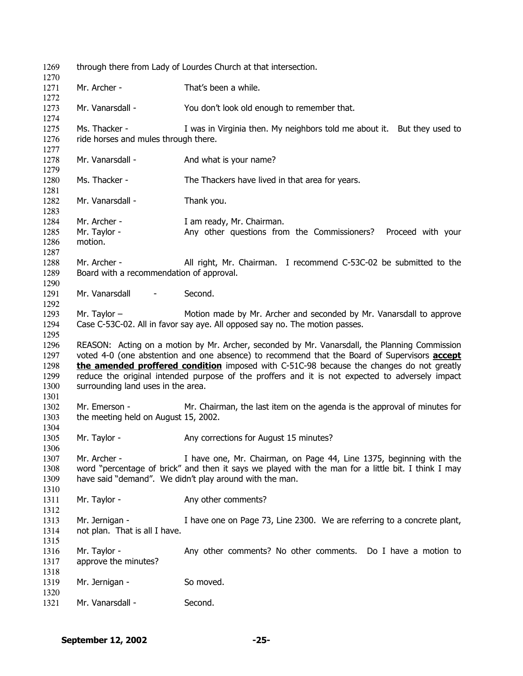| 1269<br>1270                                 | through there from Lady of Lourdes Church at that intersection.                                                                                                                                                                                                                                                                                                                                                                           |                                                                                                                                                                                                                                      |  |
|----------------------------------------------|-------------------------------------------------------------------------------------------------------------------------------------------------------------------------------------------------------------------------------------------------------------------------------------------------------------------------------------------------------------------------------------------------------------------------------------------|--------------------------------------------------------------------------------------------------------------------------------------------------------------------------------------------------------------------------------------|--|
| 1271<br>1272                                 | Mr. Archer -                                                                                                                                                                                                                                                                                                                                                                                                                              | That's been a while.                                                                                                                                                                                                                 |  |
| 1273                                         | Mr. Vanarsdall -                                                                                                                                                                                                                                                                                                                                                                                                                          | You don't look old enough to remember that.                                                                                                                                                                                          |  |
| 1274<br>1275                                 | Ms. Thacker -                                                                                                                                                                                                                                                                                                                                                                                                                             | I was in Virginia then. My neighbors told me about it. But they used to                                                                                                                                                              |  |
| 1276<br>1277                                 | ride horses and mules through there.                                                                                                                                                                                                                                                                                                                                                                                                      |                                                                                                                                                                                                                                      |  |
| 1278<br>1279                                 | Mr. Vanarsdall -                                                                                                                                                                                                                                                                                                                                                                                                                          | And what is your name?                                                                                                                                                                                                               |  |
| 1280<br>1281                                 | Ms. Thacker -                                                                                                                                                                                                                                                                                                                                                                                                                             | The Thackers have lived in that area for years.                                                                                                                                                                                      |  |
| 1282<br>1283                                 | Mr. Vanarsdall -                                                                                                                                                                                                                                                                                                                                                                                                                          | Thank you.                                                                                                                                                                                                                           |  |
| 1284                                         | Mr. Archer -                                                                                                                                                                                                                                                                                                                                                                                                                              | I am ready, Mr. Chairman.                                                                                                                                                                                                            |  |
| 1285<br>1286<br>1287                         | Mr. Taylor -<br>motion.                                                                                                                                                                                                                                                                                                                                                                                                                   | Any other questions from the Commissioners? Proceed with your                                                                                                                                                                        |  |
| 1288<br>1289                                 | Mr. Archer -<br>Board with a recommendation of approval.                                                                                                                                                                                                                                                                                                                                                                                  | All right, Mr. Chairman. I recommend C-53C-02 be submitted to the                                                                                                                                                                    |  |
| 1290<br>1291<br>1292                         | Mr. Vanarsdall<br>$\overline{\phantom{a}}$                                                                                                                                                                                                                                                                                                                                                                                                | Second.                                                                                                                                                                                                                              |  |
| 1293<br>1294<br>1295                         | Mr. Taylor $-$                                                                                                                                                                                                                                                                                                                                                                                                                            | Motion made by Mr. Archer and seconded by Mr. Vanarsdall to approve<br>Case C-53C-02. All in favor say aye. All opposed say no. The motion passes.                                                                                   |  |
| 1296<br>1297<br>1298<br>1299<br>1300<br>1301 | REASON: Acting on a motion by Mr. Archer, seconded by Mr. Vanarsdall, the Planning Commission<br>voted 4-0 (one abstention and one absence) to recommend that the Board of Supervisors <b>accept</b><br>the amended proffered condition imposed with C-51C-98 because the changes do not greatly<br>reduce the original intended purpose of the proffers and it is not expected to adversely impact<br>surrounding land uses in the area. |                                                                                                                                                                                                                                      |  |
| 1302<br>1303                                 | Mr. Emerson -<br>the meeting held on August 15, 2002.                                                                                                                                                                                                                                                                                                                                                                                     | Mr. Chairman, the last item on the agenda is the approval of minutes for                                                                                                                                                             |  |
| 1304<br>1305<br>1306                         | Mr. Taylor -                                                                                                                                                                                                                                                                                                                                                                                                                              | Any corrections for August 15 minutes?                                                                                                                                                                                               |  |
| 1307<br>1308<br>1309<br>1310                 | Mr. Archer -                                                                                                                                                                                                                                                                                                                                                                                                                              | I have one, Mr. Chairman, on Page 44, Line 1375, beginning with the<br>word "percentage of brick" and then it says we played with the man for a little bit. I think I may<br>have said "demand". We didn't play around with the man. |  |
| 1311<br>1312                                 | Mr. Taylor -                                                                                                                                                                                                                                                                                                                                                                                                                              | Any other comments?                                                                                                                                                                                                                  |  |
| 1313<br>1314<br>1315                         | Mr. Jernigan -<br>not plan. That is all I have.                                                                                                                                                                                                                                                                                                                                                                                           | I have one on Page 73, Line 2300. We are referring to a concrete plant,                                                                                                                                                              |  |
| 1316<br>1317<br>1318                         | Mr. Taylor -<br>approve the minutes?                                                                                                                                                                                                                                                                                                                                                                                                      | Any other comments? No other comments. Do I have a motion to                                                                                                                                                                         |  |
| 1319<br>1320                                 | Mr. Jernigan -                                                                                                                                                                                                                                                                                                                                                                                                                            | So moved.                                                                                                                                                                                                                            |  |
| 1321                                         | Mr. Vanarsdall -                                                                                                                                                                                                                                                                                                                                                                                                                          | Second.                                                                                                                                                                                                                              |  |